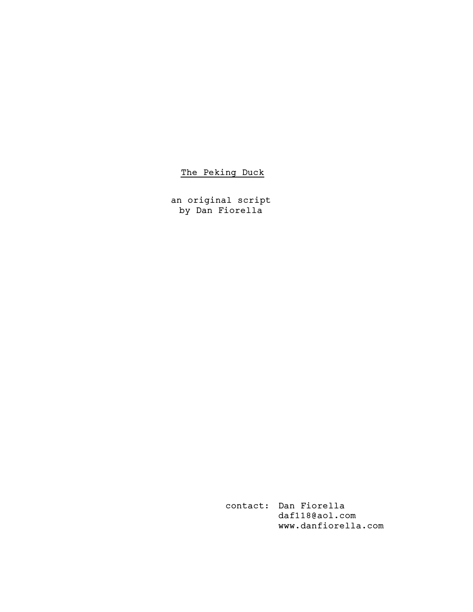# The Peking Duck

an original script by Dan Fiorella

> contact: Dan Fiorella daf118@aol.com www.danfiorella.com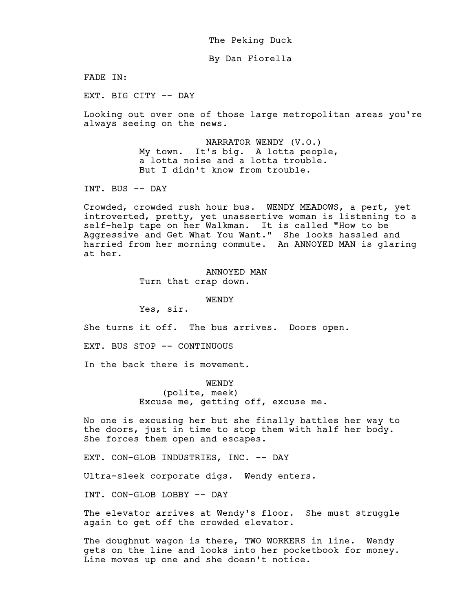The Peking Duck

By Dan Fiorella

FADE IN:

EXT. BIG CITY -- DAY

Looking out over one of those large metropolitan areas you're always seeing on the news.

> NARRATOR WENDY (V.O.) My town. It's big. A lotta people, a lotta noise and a lotta trouble. But I didn't know from trouble.

INT. BUS -- DAY

Crowded, crowded rush hour bus. WENDY MEADOWS, a pert, yet introverted, pretty, yet unassertive woman is listening to a self-help tape on her Walkman. It is called "How to be Aggressive and Get What You Want." She looks hassled and harried from her morning commute. An ANNOYED MAN is glaring at her.

> ANNOYED MAN Turn that crap down.

> > WENDY

Yes, sir.

She turns it off. The bus arrives. Doors open.

EXT. BUS STOP -- CONTINUOUS

In the back there is movement.

WENDY

(polite, meek) Excuse me, getting off, excuse me.

No one is excusing her but she finally battles her way to the doors, just in time to stop them with half her body. She forces them open and escapes.

EXT. CON-GLOB INDUSTRIES, INC. -- DAY

Ultra-sleek corporate digs. Wendy enters.

INT. CON-GLOB LOBBY -- DAY

The elevator arrives at Wendy's floor. She must struggle again to get off the crowded elevator.

The doughnut wagon is there, TWO WORKERS in line. Wendy gets on the line and looks into her pocketbook for money. Line moves up one and she doesn't notice.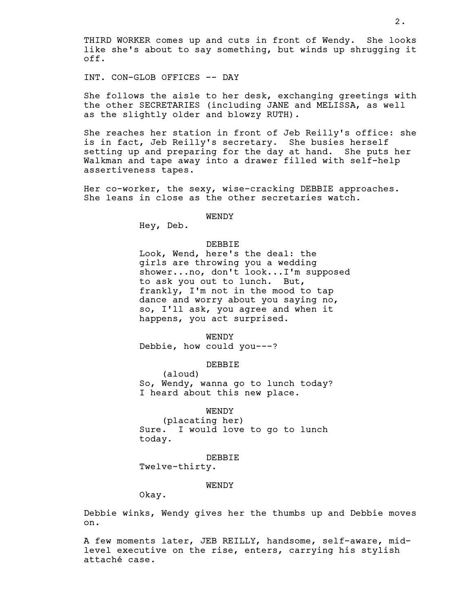THIRD WORKER comes up and cuts in front of Wendy. She looks like she's about to say something, but winds up shrugging it off.

INT. CON-GLOB OFFICES -- DAY

She follows the aisle to her desk, exchanging greetings with the other SECRETARIES (including JANE and MELISSA, as well as the slightly older and blowzy RUTH).

She reaches her station in front of Jeb Reilly's office: she is in fact, Jeb Reilly's secretary. She busies herself setting up and preparing for the day at hand. She puts her Walkman and tape away into a drawer filled with self-help assertiveness tapes.

Her co-worker, the sexy, wise-cracking DEBBIE approaches. She leans in close as the other secretaries watch.

# WENDY

Hey, Deb.

### DEBBIE

Look, Wend, here's the deal: the girls are throwing you a wedding shower...no, don't look...I'm supposed to ask you out to lunch. But, frankly, I'm not in the mood to tap dance and worry about you saying no, so, I'll ask, you agree and when it happens, you act surprised.

WENDY Debbie, how could you---?

DEBBIE

(aloud) So, Wendy, wanna go to lunch today? I heard about this new place.

WENDY

(placating her) Sure. I would love to go to lunch today.

DEBBIE

Twelve-thirty.

WENDY

Okay.

Debbie winks, Wendy gives her the thumbs up and Debbie moves on.

A few moments later, JEB REILLY, handsome, self-aware, midlevel executive on the rise, enters, carrying his stylish attaché case.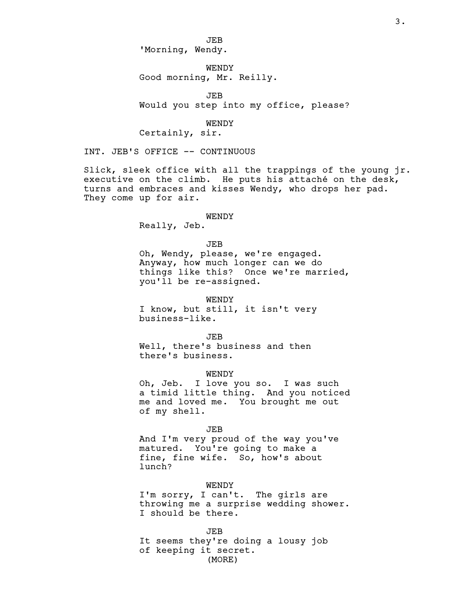JEB 'Morning, Wendy.

WENDY Good morning, Mr. Reilly.

JEB Would you step into my office, please?

WENDY Certainly, sir.

INT. JEB'S OFFICE -- CONTINUOUS

Slick, sleek office with all the trappings of the young jr. executive on the climb. He puts his attaché on the desk, turns and embraces and kisses Wendy, who drops her pad. They come up for air.

WENDY

Really, Jeb.

JEB

Oh, Wendy, please, we're engaged. Anyway, how much longer can we do things like this? Once we're married, you'll be re-assigned.

WENDY I know, but still, it isn't very business-like.

JEB Well, there's business and then there's business.

WENDY Oh, Jeb. I love you so. I was such a timid little thing. And you noticed me and loved me. You brought me out of my shell.

JEB

And I'm very proud of the way you've matured. You're going to make a fine, fine wife. So, how's about lunch?

WENDY

I'm sorry, I can't. The girls are throwing me a surprise wedding shower. I should be there.

JEB It seems they're doing a lousy job of keeping it secret. (MORE)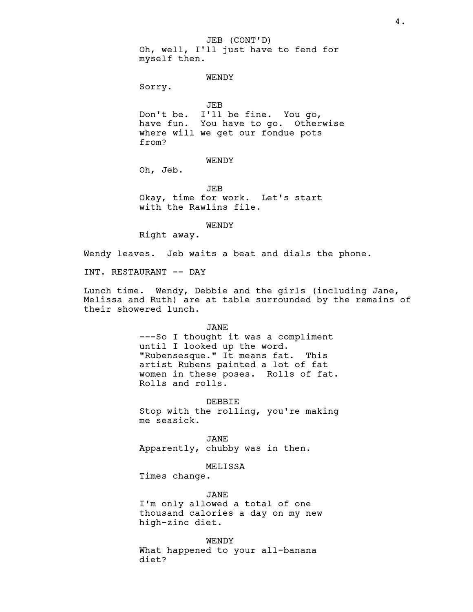JEB (CONT'D) Oh, well, I'll just have to fend for myself then.

### WENDY

Sorry.

JEB Don't be. I'll be fine. You go, have fun. You have to go. Otherwise where will we get our fondue pots from?

### WENDY

Oh, Jeb.

JEB Okay, time for work. Let's start with the Rawlins file.

WENDY

Right away.

Wendy leaves. Jeb waits a beat and dials the phone.

INT. RESTAURANT -- DAY

Lunch time. Wendy, Debbie and the girls (including Jane, Melissa and Ruth) are at table surrounded by the remains of their showered lunch.

### JANE

---So I thought it was a compliment until I looked up the word. "Rubensesque." It means fat. This artist Rubens painted a lot of fat women in these poses. Rolls of fat. Rolls and rolls.

DEBBIE Stop with the rolling, you're making me seasick.

JANE Apparently, chubby was in then.

MELISSA

Times change.

JANE

I'm only allowed a total of one thousand calories a day on my new high-zinc diet.

WENDY What happened to your all-banana diet?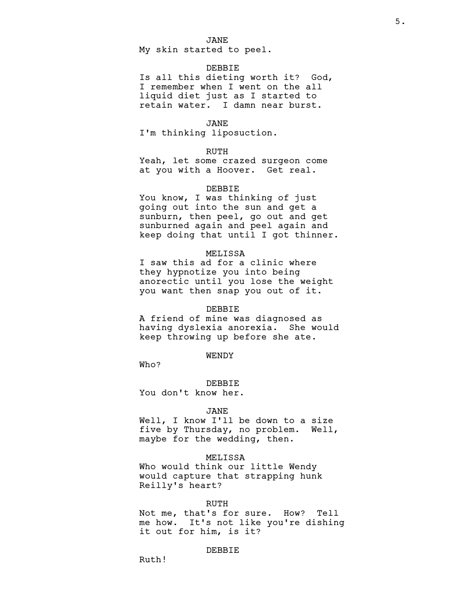My skin started to peel.

# DEBBIE

Is all this dieting worth it? God, I remember when I went on the all liquid diet just as I started to retain water. I damn near burst.

# JANE

I'm thinking liposuction.

### RUTH

Yeah, let some crazed surgeon come at you with a Hoover. Get real.

## DEBBIE

You know, I was thinking of just going out into the sun and get a sunburn, then peel, go out and get sunburned again and peel again and keep doing that until I got thinner.

### MELISSA

I saw this ad for a clinic where they hypnotize you into being anorectic until you lose the weight you want then snap you out of it.

### DEBBIE

A friend of mine was diagnosed as having dyslexia anorexia. She would keep throwing up before she ate.

### WENDY

Who?

# DEBBIE

You don't know her.

#### JANE

Well, I know I'll be down to a size five by Thursday, no problem. Well, maybe for the wedding, then.

### MELISSA

Who would think our little Wendy would capture that strapping hunk Reilly's heart?

### RUTH

Not me, that's for sure. How? Tell me how. It's not like you're dishing it out for him, is it?

# DEBBIE

Ruth!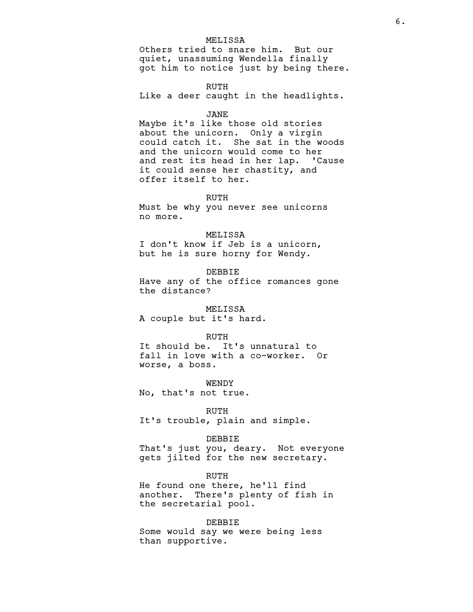### MELISSA

Others tried to snare him. But our quiet, unassuming Wendella finally got him to notice just by being there.

### RUTH

Like a deer caught in the headlights.

### JANE

Maybe it's like those old stories about the unicorn. Only a virgin could catch it. She sat in the woods and the unicorn would come to her and rest its head in her lap. 'Cause it could sense her chastity, and offer itself to her.

#### RUTH

Must be why you never see unicorns no more.

### MELISSA

I don't know if Jeb is a unicorn, but he is sure horny for Wendy.

DEBBIE

Have any of the office romances gone the distance?

MELISSA A couple but it's hard.

#### RUTH

It should be. It's unnatural to fall in love with a co-worker. Or worse, a boss.

WENDY No, that's not true.

### RUTH

It's trouble, plain and simple.

### DEBBIE

That's just you, deary. Not everyone gets jilted for the new secretary.

### RUTH

He found one there, he'll find another. There's plenty of fish in the secretarial pool.

#### DEBBIE

Some would say we were being less than supportive.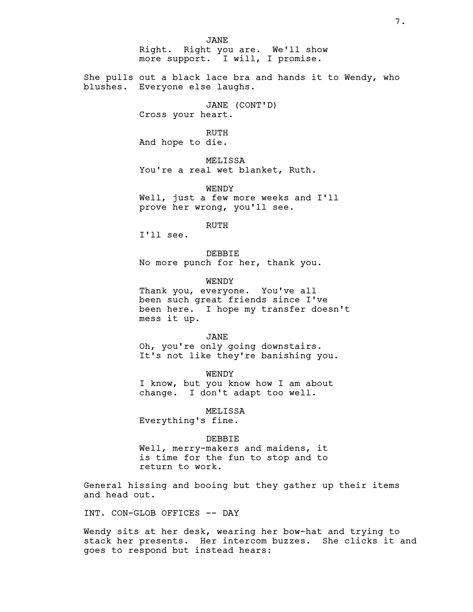JANE Right. Right you are. We'll show more support. I will, I promise. She pulls out a black lace bra and hands it to Wendy, who blushes. Everyone else laughs. JANE (CONT'D) Cross your heart. RUTH And hope to die. MELISSA You're a real wet blanket, Ruth. WENDY Well, just a few more weeks and I'll prove her wrong, you'll see. RUTH I'll see. DEBBIE No more punch for her, thank you. WENDY Thank you, everyone. You've all been such great friends since I've been here. I hope my transfer doesn't mess it up. JANE Oh, you're only going downstairs. It's not like they're banishing you. WENDY I know, but you know how I am about change. I don't adapt too well. MELISSA Everything's fine. DEBBIE Well, merry-makers and maidens, it is time for the fun to stop and to return to work.

General hissing and booing but they gather up their items and head out.

INT. CON-GLOB OFFICES -- DAY

Wendy sits at her desk, wearing her bow-hat and trying to stack her presents. Her intercom buzzes. She clicks it and goes to respond but instead hears: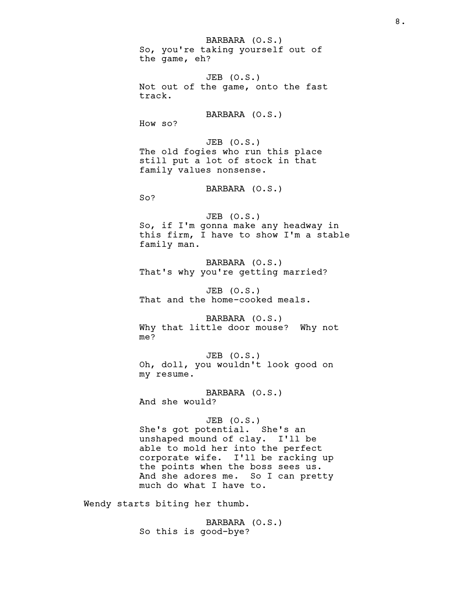BARBARA (O.S.) So, you're taking yourself out of the game, eh?

JEB (O.S.) Not out of the game, onto the fast track.

BARBARA (O.S.)

How so?

JEB (O.S.) The old fogies who run this place still put a lot of stock in that family values nonsense.

BARBARA (O.S.)

So?

JEB (O.S.) So, if I'm gonna make any headway in this firm, I have to show I'm a stable family man.

BARBARA (O.S.) That's why you're getting married?

JEB (O.S.) That and the home-cooked meals.

BARBARA (O.S.) Why that little door mouse? Why not me?

JEB (O.S.) Oh, doll, you wouldn't look good on my resume.

BARBARA (O.S.) And she would?

JEB (O.S.)

She's got potential. She's an unshaped mound of clay. I'll be able to mold her into the perfect corporate wife. I'll be racking up the points when the boss sees us. And she adores me. So I can pretty much do what I have to.

Wendy starts biting her thumb.

BARBARA (O.S.) So this is good-bye?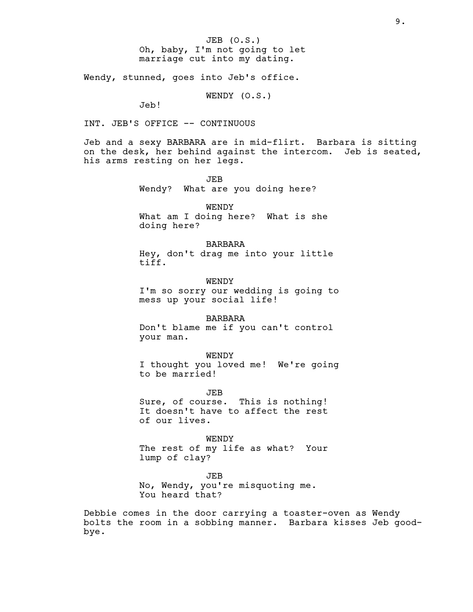# JEB (O.S.) Oh, baby, I'm not going to let marriage cut into my dating.

Wendy, stunned, goes into Jeb's office.

WENDY (O.S.)

Jeb!

INT. JEB'S OFFICE -- CONTINUOUS

Jeb and a sexy BARBARA are in mid-flirt. Barbara is sitting on the desk, her behind against the intercom. Jeb is seated, his arms resting on her legs.

JEB

Wendy? What are you doing here?

WENDY

What am I doing here? What is she doing here?

BARBARA

Hey, don't drag me into your little tiff.

WENDY

I'm so sorry our wedding is going to mess up your social life!

BARBARA

Don't blame me if you can't control your man.

WENDY

I thought you loved me! We're going to be married!

JEB

Sure, of course. This is nothing! It doesn't have to affect the rest of our lives.

WENDY The rest of my life as what? Your lump of clay?

JEB No, Wendy, you're misquoting me. You heard that?

Debbie comes in the door carrying a toaster-oven as Wendy bolts the room in a sobbing manner. Barbara kisses Jeb goodbye.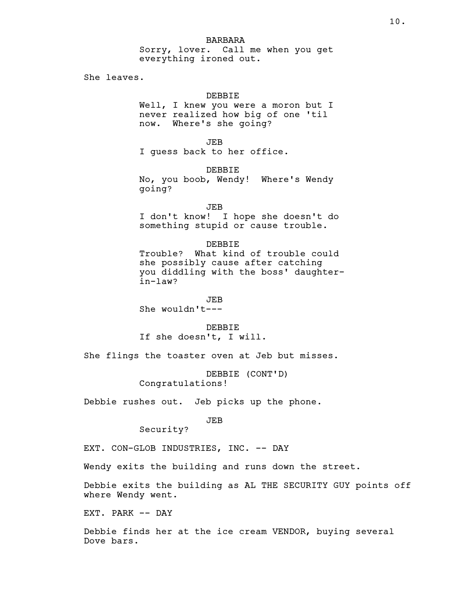Sorry, lover. Call me when you get everything ironed out.

She leaves.

# DEBBIE

Well, I knew you were a moron but I never realized how big of one 'til now. Where's she going?

JEB I guess back to her office.

DEBBIE No, you boob, Wendy! Where's Wendy going?

JEB I don't know! I hope she doesn't do something stupid or cause trouble.

DEBBIE Trouble? What kind of trouble could she possibly cause after catching you diddling with the boss' daughterin-law?

JEB She wouldn't---

DEBBIE If she doesn't, I will.

She flings the toaster oven at Jeb but misses.

DEBBIE (CONT'D) Congratulations!

Debbie rushes out. Jeb picks up the phone.

JEB

Security?

EXT. CON-GLOB INDUSTRIES, INC. -- DAY

Wendy exits the building and runs down the street.

Debbie exits the building as AL THE SECURITY GUY points off where Wendy went.

EXT. PARK -- DAY

Debbie finds her at the ice cream VENDOR, buying several Dove bars.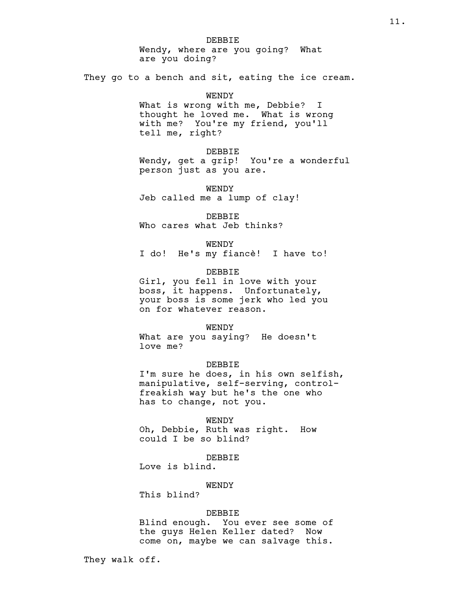DEBBIE Wendy, where are you going? What are you doing? They go to a bench and sit, eating the ice cream. WENDY What is wrong with me, Debbie? I thought he loved me. What is wrong with me? You're my friend, you'll tell me, right? DEBBIE Wendy, get a grip! You're a wonderful person just as you are. WENDY Jeb called me a lump of clay! DEBBIE Who cares what Jeb thinks? WENDY I do! He's my fiancè! I have to! DEBBIE Girl, you fell in love with your boss, it happens. Unfortunately, your boss is some jerk who led you on for whatever reason. WENDY What are you saying? He doesn't love me? DEBBIE I'm sure he does, in his own selfish, manipulative, self-serving, controlfreakish way but he's the one who has to change, not you. WENDY Oh, Debbie, Ruth was right. How could I be so blind?

> DEBBIE Love is blind.

# WENDY

This blind?

### DEBBIE

Blind enough. You ever see some of the guys Helen Keller dated? Now come on, maybe we can salvage this.

They walk off.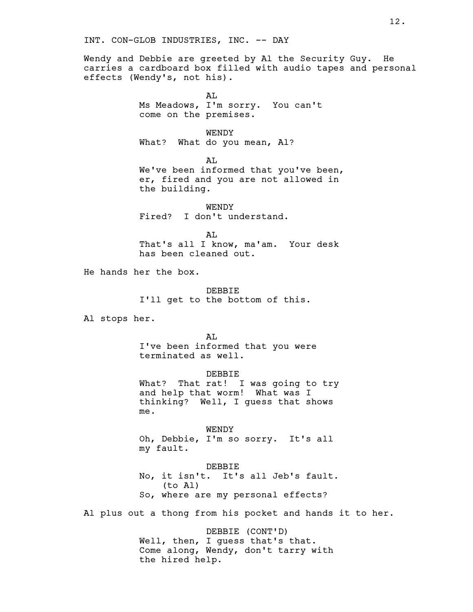Wendy and Debbie are greeted by Al the Security Guy. He carries a cardboard box filled with audio tapes and personal effects (Wendy's, not his).

> AL Ms Meadows, I'm sorry. You can't come on the premises.

WENDY What? What do you mean, Al?

AL We've been informed that you've been, er, fired and you are not allowed in the building.

WENDY Fired? I don't understand.

AL That's all I know, ma'am. Your desk has been cleaned out.

He hands her the box.

DEBBIE I'll get to the bottom of this.

Al stops her.

AL

I've been informed that you were terminated as well.

DEBBIE What? That rat! I was going to try and help that worm! What was I thinking? Well, I guess that shows me.

WENDY Oh, Debbie, I'm so sorry. It's all my fault.

DEBBIE No, it isn't. It's all Jeb's fault. (to Al) So, where are my personal effects?

Al plus out a thong from his pocket and hands it to her.

DEBBIE (CONT'D) Well, then, I guess that's that. Come along, Wendy, don't tarry with the hired help.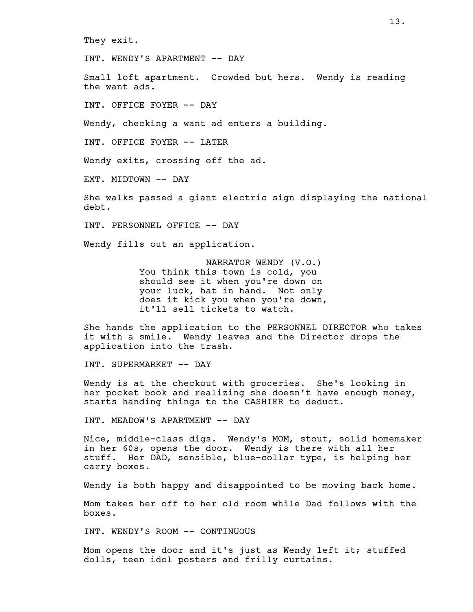They exit.

INT. WENDY'S APARTMENT -- DAY

Small loft apartment. Crowded but hers. Wendy is reading the want ads.

INT. OFFICE FOYER -- DAY

Wendy, checking a want ad enters a building.

INT. OFFICE FOYER -- LATER

Wendy exits, crossing off the ad.

EXT. MIDTOWN -- DAY

She walks passed a giant electric sign displaying the national debt.

INT. PERSONNEL OFFICE -- DAY

Wendy fills out an application.

NARRATOR WENDY (V.O.) You think this town is cold, you should see it when you're down on your luck, hat in hand. Not only does it kick you when you're down, it'll sell tickets to watch.

She hands the application to the PERSONNEL DIRECTOR who takes it with a smile. Wendy leaves and the Director drops the application into the trash.

INT. SUPERMARKET -- DAY

Wendy is at the checkout with groceries. She's looking in her pocket book and realizing she doesn't have enough money, starts handing things to the CASHIER to deduct.

INT. MEADOW'S APARTMENT -- DAY

Nice, middle-class digs. Wendy's MOM, stout, solid homemaker in her 60s, opens the door. Wendy is there with all her stuff. Her DAD, sensible, blue-collar type, is helping her carry boxes.

Wendy is both happy and disappointed to be moving back home.

Mom takes her off to her old room while Dad follows with the boxes.

INT. WENDY'S ROOM -- CONTINUOUS

Mom opens the door and it's just as Wendy left it; stuffed dolls, teen idol posters and frilly curtains.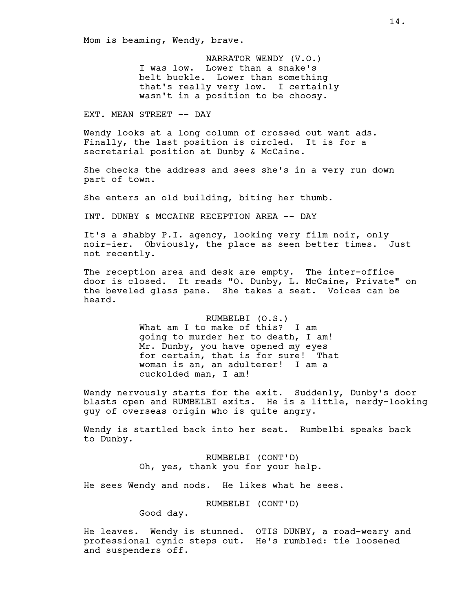Mom is beaming, Wendy, brave.

NARRATOR WENDY (V.O.) I was low. Lower than a snake's belt buckle. Lower than something that's really very low. I certainly wasn't in a position to be choosy.

EXT. MEAN STREET -- DAY

Wendy looks at a long column of crossed out want ads. Finally, the last position is circled. It is for a secretarial position at Dunby & McCaine.

She checks the address and sees she's in a very run down part of town.

She enters an old building, biting her thumb.

INT. DUNBY & MCCAINE RECEPTION AREA -- DAY

It's a shabby P.I. agency, looking very film noir, only noir-ier. Obviously, the place as seen better times. Just not recently.

The reception area and desk are empty. The inter-office door is closed. It reads "O. Dunby, L. McCaine, Private" on the beveled glass pane. She takes a seat. Voices can be heard.

> RUMBELBI (O.S.) What am I to make of this? I am going to murder her to death, I am! Mr. Dunby, you have opened my eyes for certain, that is for sure! That woman is an, an adulterer! I am a cuckolded man, I am!

Wendy nervously starts for the exit. Suddenly, Dunby's door blasts open and RUMBELBI exits. He is a little, nerdy-looking guy of overseas origin who is quite angry.

Wendy is startled back into her seat. Rumbelbi speaks back to Dunby.

> RUMBELBI (CONT'D) Oh, yes, thank you for your help.

He sees Wendy and nods. He likes what he sees.

RUMBELBI (CONT'D)

Good day.

He leaves. Wendy is stunned. OTIS DUNBY, a road-weary and professional cynic steps out. He's rumbled: tie loosened and suspenders off.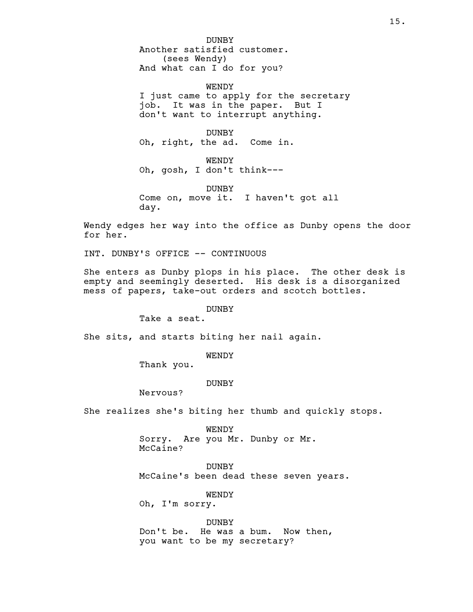DUNBY Another satisfied customer. (sees Wendy) And what can I do for you?

WENDY I just came to apply for the secretary job. It was in the paper. But I don't want to interrupt anything.

DUNBY Oh, right, the ad. Come in.

WENDY Oh, gosh, I don't think---

DUNBY Come on, move it. I haven't got all day.

Wendy edges her way into the office as Dunby opens the door for her.

INT. DUNBY'S OFFICE -- CONTINUOUS

She enters as Dunby plops in his place. The other desk is empty and seemingly deserted. His desk is a disorganized mess of papers, take-out orders and scotch bottles.

# DUNBY

Take a seat.

She sits, and starts biting her nail again.

WENDY

Thank you.

# DUNBY

Nervous?

She realizes she's biting her thumb and quickly stops.

WENDY Sorry. Are you Mr. Dunby or Mr.

McCaine?

DUNBY McCaine's been dead these seven years.

WENDY

Oh, I'm sorry.

DUNBY Don't be. He was a bum. Now then, you want to be my secretary?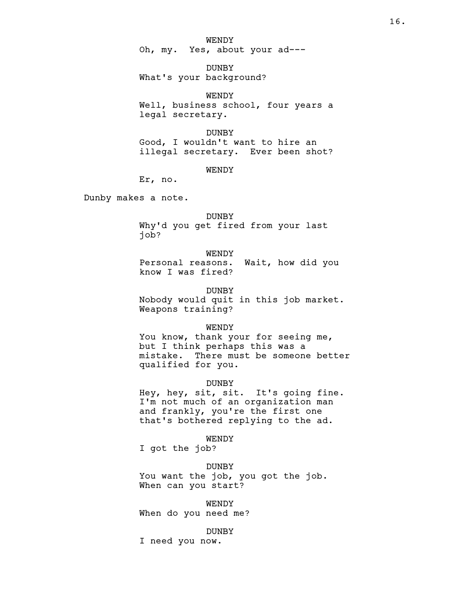WENDY Oh, my. Yes, about your ad---

DUNBY What's your background?

WENDY Well, business school, four years a legal secretary.

DUNBY Good, I wouldn't want to hire an illegal secretary. Ever been shot?

WENDY

Er, no.

Dunby makes a note.

DUNBY

Why'd you get fired from your last job?

WENDY Personal reasons. Wait, how did you know I was fired?

DUNBY Nobody would quit in this job market. Weapons training?

WENDY

You know, thank your for seeing me, but I think perhaps this was a mistake. There must be someone better qualified for you.

DUNBY

Hey, hey, sit, sit. It's going fine. I'm not much of an organization man and frankly, you're the first one that's bothered replying to the ad.

WENDY

I got the job?

DUNBY

You want the job, you got the job. When can you start?

WENDY When do you need me?

DUNBY

I need you now.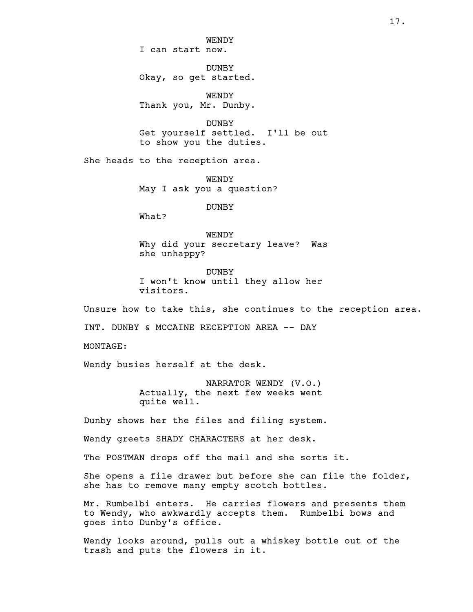WENDY I can start now.

DUNBY Okay, so get started.

WENDY Thank you, Mr. Dunby.

DUNBY Get yourself settled. I'll be out to show you the duties.

She heads to the reception area.

WENDY May I ask you a question?

DUNBY

What?

WENDY Why did your secretary leave? Was she unhappy?

DUNBY I won't know until they allow her visitors.

Unsure how to take this, she continues to the reception area.

INT. DUNBY & MCCAINE RECEPTION AREA -- DAY

MONTAGE:

Wendy busies herself at the desk.

NARRATOR WENDY (V.O.) Actually, the next few weeks went quite well.

Dunby shows her the files and filing system.

Wendy greets SHADY CHARACTERS at her desk.

The POSTMAN drops off the mail and she sorts it.

She opens a file drawer but before she can file the folder, she has to remove many empty scotch bottles.

Mr. Rumbelbi enters. He carries flowers and presents them to Wendy, who awkwardly accepts them. Rumbelbi bows and goes into Dunby's office.

Wendy looks around, pulls out a whiskey bottle out of the trash and puts the flowers in it.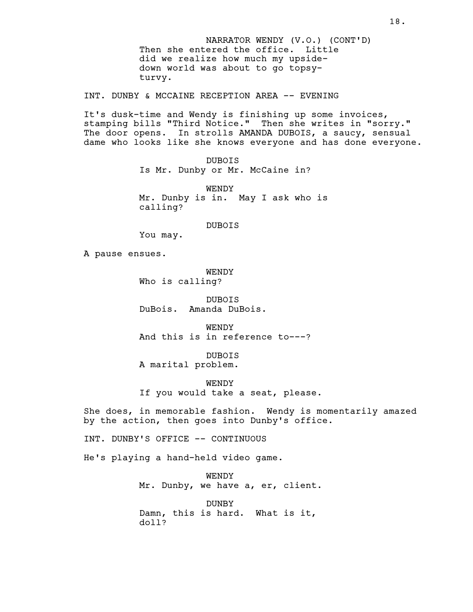NARRATOR WENDY (V.O.) (CONT'D) Then she entered the office. Little did we realize how much my upsidedown world was about to go topsyturvy.

INT. DUNBY & MCCAINE RECEPTION AREA -- EVENING

It's dusk-time and Wendy is finishing up some invoices, stamping bills "Third Notice." Then she writes in "sorry." The door opens. In strolls AMANDA DUBOIS, a saucy, sensual dame who looks like she knows everyone and has done everyone.

> DUBOIS Is Mr. Dunby or Mr. McCaine in?

WENDY Mr. Dunby is in. May I ask who is calling?

### DUBOIS

You may.

A pause ensues.

WENDY Who is calling?

DUBOIS DuBois. Amanda DuBois.

WENDY And this is in reference to---?

DUBOIS A marital problem.

WENDY If you would take a seat, please.

She does, in memorable fashion. Wendy is momentarily amazed by the action, then goes into Dunby's office.

INT. DUNBY'S OFFICE -- CONTINUOUS

He's playing a hand-held video game.

WENDY Mr. Dunby, we have a, er, client.

DUNBY Damn, this is hard. What is it, doll?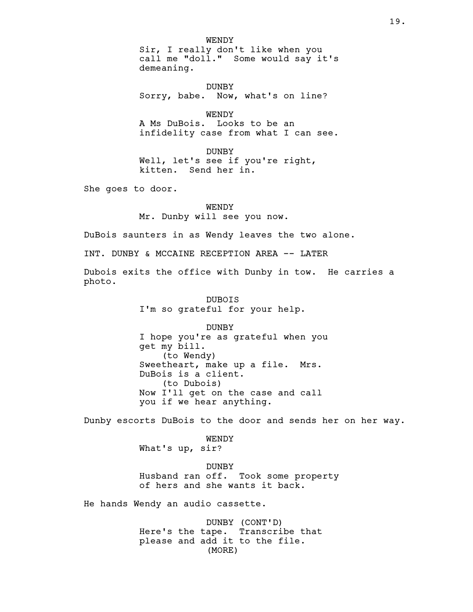WENDY Sir, I really don't like when you call me "doll." Some would say it's demeaning.

DUNBY Sorry, babe. Now, what's on line?

WENDY A Ms DuBois. Looks to be an infidelity case from what I can see.

DUNBY Well, let's see if you're right, kitten. Send her in.

She goes to door.

#### WENDY

Mr. Dunby will see you now.

DuBois saunters in as Wendy leaves the two alone.

INT. DUNBY & MCCAINE RECEPTION AREA -- LATER

Dubois exits the office with Dunby in tow. He carries a photo.

> DUBOIS I'm so grateful for your help.

DUNBY I hope you're as grateful when you get my bill. (to Wendy) Sweetheart, make up a file. Mrs. DuBois is a client. (to Dubois) Now I'll get on the case and call you if we hear anything.

Dunby escorts DuBois to the door and sends her on her way.

WENDY What's up, sir?

DUNBY Husband ran off. Took some property of hers and she wants it back.

He hands Wendy an audio cassette.

DUNBY (CONT'D) Here's the tape. Transcribe that please and add it to the file. (MORE)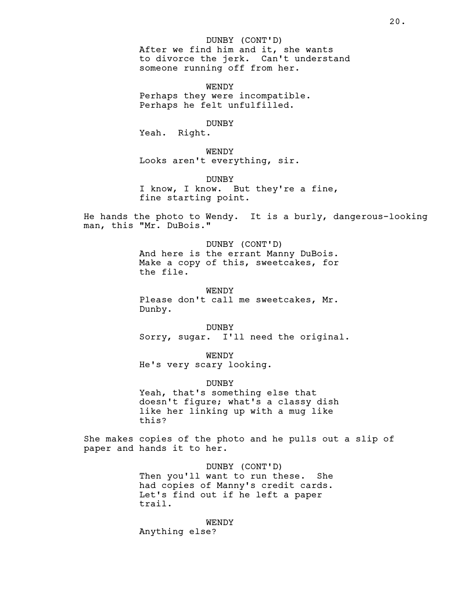DUNBY (CONT'D) After we find him and it, she wants to divorce the jerk. Can't understand someone running off from her.

WENDY Perhaps they were incompatible. Perhaps he felt unfulfilled.

DUNBY

Yeah. Right.

WENDY Looks aren't everything, sir.

DUNBY I know, I know. But they're a fine, fine starting point.

He hands the photo to Wendy. It is a burly, dangerous-looking man, this "Mr. DuBois."

> DUNBY (CONT'D) And here is the errant Manny DuBois. Make a copy of this, sweetcakes, for the file.

> WENDY Please don't call me sweetcakes, Mr. Dunby.

DUNBY Sorry, sugar. I'll need the original.

WENDY He's very scary looking.

DUNBY

Yeah, that's something else that doesn't figure; what's a classy dish like her linking up with a mug like this?

She makes copies of the photo and he pulls out a slip of paper and hands it to her.

> DUNBY (CONT'D) Then you'll want to run these. She had copies of Manny's credit cards. Let's find out if he left a paper trail.

WENDY Anything else?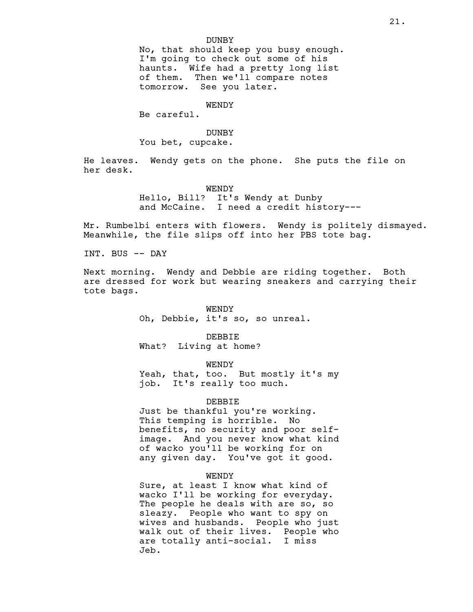No, that should keep you busy enough. I'm going to check out some of his haunts. Wife had a pretty long list of them. Then we'll compare notes tomorrow. See you later.

# WENDY

Be careful.

# DUNBY

You bet, cupcake.

He leaves. Wendy gets on the phone. She puts the file on her desk.

#### WENDY

Hello, Bill? It's Wendy at Dunby and McCaine. I need a credit history---

Mr. Rumbelbi enters with flowers. Wendy is politely dismayed. Meanwhile, the file slips off into her PBS tote bag.

INT. BUS -- DAY

Next morning. Wendy and Debbie are riding together. Both are dressed for work but wearing sneakers and carrying their tote bags.

> WENDY Oh, Debbie, it's so, so unreal.

DEBBIE What? Living at home?

WENDY

Yeah, that, too. But mostly it's my job. It's really too much.

DEBBIE

Just be thankful you're working. This temping is horrible. No benefits, no security and poor selfimage. And you never know what kind of wacko you'll be working for on any given day. You've got it good.

### WENDY

Sure, at least I know what kind of wacko I'll be working for everyday. The people he deals with are so, so sleazy. People who want to spy on wives and husbands. People who just walk out of their lives. People who are totally anti-social. I miss Jeb.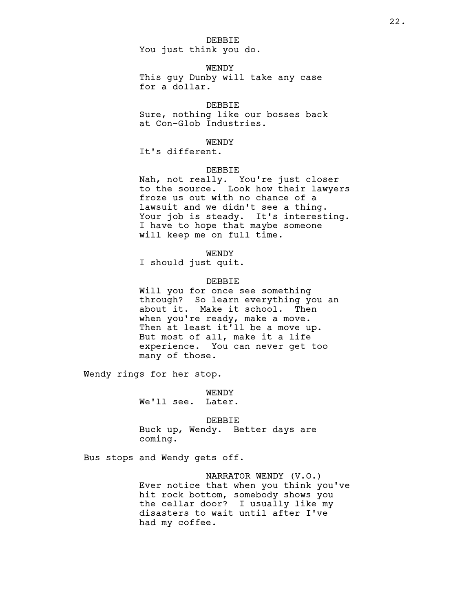DEBBIE You just think you do.

WENDY This guy Dunby will take any case for a dollar.

## DEBBIE

Sure, nothing like our bosses back at Con-Glob Industries.

### WENDY

It's different.

# DEBBIE

Nah, not really. You're just closer to the source. Look how their lawyers froze us out with no chance of a lawsuit and we didn't see a thing. Your job is steady. It's interesting. I have to hope that maybe someone will keep me on full time.

### WENDY

I should just quit.

### DEBBIE

Will you for once see something through? So learn everything you an about it. Make it school. Then when you're ready, make a move. Then at least it'll be a move up. But most of all, make it a life experience. You can never get too many of those.

Wendy rings for her stop.

WENDY

We'll see. Later.

DEBBIE Buck up, Wendy. Better days are coming.

Bus stops and Wendy gets off.

NARRATOR WENDY (V.O.) Ever notice that when you think you've hit rock bottom, somebody shows you the cellar door? I usually like my disasters to wait until after I've had my coffee.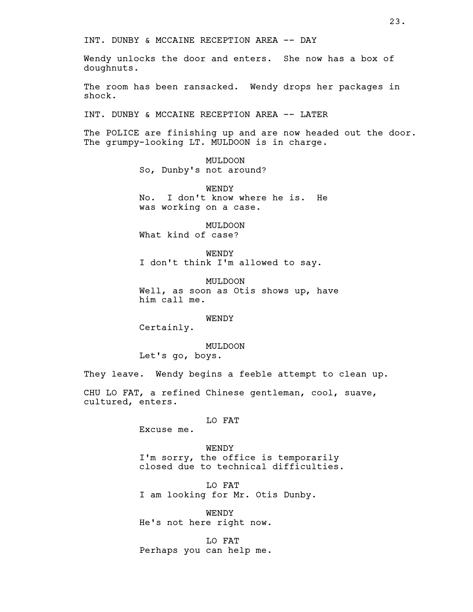Wendy unlocks the door and enters. She now has a box of doughnuts.

The room has been ransacked. Wendy drops her packages in shock.

INT. DUNBY & MCCAINE RECEPTION AREA -- LATER

The POLICE are finishing up and are now headed out the door. The grumpy-looking LT. MULDOON is in charge.

> MULDOON So, Dunby's not around?

WENDY No. I don't know where he is. He was working on a case.

MULDOON What kind of case?

WENDY I don't think I'm allowed to say.

MULDOON Well, as soon as Otis shows up, have him call me.

# WENDY

Certainly.

MULDOON

Let's go, boys.

They leave. Wendy begins a feeble attempt to clean up.

CHU LO FAT, a refined Chinese gentleman, cool, suave, cultured, enters.

# LO FAT

Excuse me.

WENDY I'm sorry, the office is temporarily closed due to technical difficulties.

LO FAT I am looking for Mr. Otis Dunby.

WENDY He's not here right now.

LO FAT Perhaps you can help me.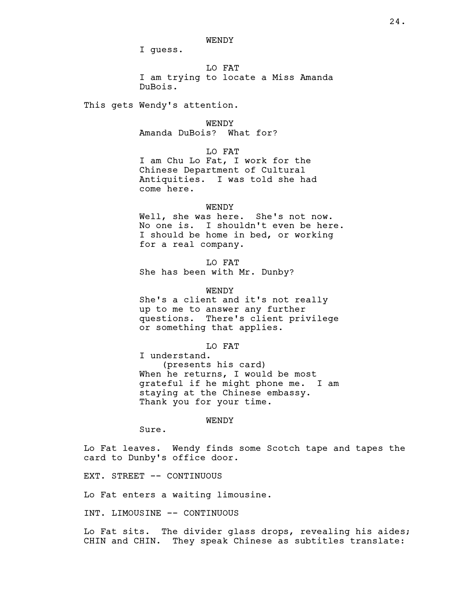WENDY

I guess.

LO FAT I am trying to locate a Miss Amanda DuBois.

This gets Wendy's attention.

### WENDY

Amanda DuBois? What for?

LO FAT

I am Chu Lo Fat, I work for the Chinese Department of Cultural Antiquities. I was told she had come here.

#### WENDY

Well, she was here. She's not now. No one is. I shouldn't even be here. I should be home in bed, or working for a real company.

LO FAT She has been with Mr. Dunby?

WENDY

She's a client and it's not really up to me to answer any further questions. There's client privilege or something that applies.

LO FAT

I understand. (presents his card) When he returns, I would be most grateful if he might phone me. I am staying at the Chinese embassy. Thank you for your time.

WENDY

Sure.

Lo Fat leaves. Wendy finds some Scotch tape and tapes the card to Dunby's office door.

EXT. STREET -- CONTINUOUS

Lo Fat enters a waiting limousine.

INT. LIMOUSINE -- CONTINUOUS

Lo Fat sits. The divider glass drops, revealing his aides; CHIN and CHIN. They speak Chinese as subtitles translate: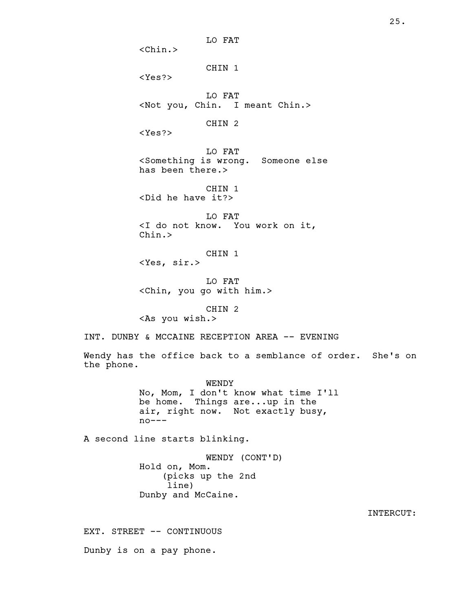LO FAT <Chin.> CHIN 1 <Yes?> LO FAT <Not you, Chin. I meant Chin.> CHIN 2 <Yes?> LO FAT <Something is wrong. Someone else has been there.> CHIN 1 <Did he have it?> LO FAT <I do not know. You work on it, Chin.> CHIN 1 <Yes, sir.> LO FAT <Chin, you go with him.> CHIN 2 <As you wish.> INT. DUNBY & MCCAINE RECEPTION AREA -- EVENING Wendy has the office back to a semblance of order. She's on the phone. WENDY No, Mom, I don't know what time I'll be home. Things are...up in the air, right now. Not exactly busy,  $no---$ A second line starts blinking. WENDY (CONT'D) Hold on, Mom. (picks up the 2nd line) Dunby and McCaine.

INTERCUT:

EXT. STREET -- CONTINUOUS

Dunby is on a pay phone.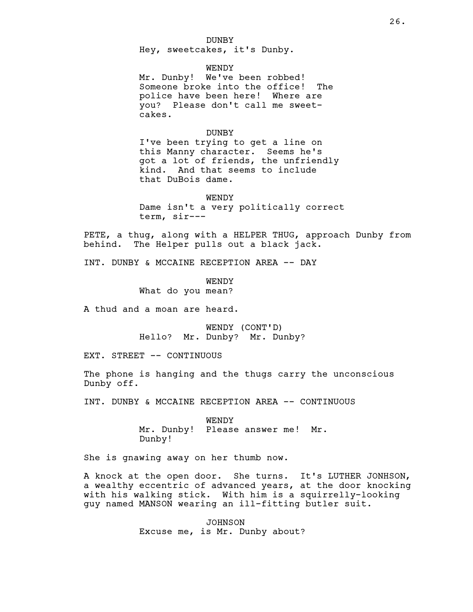Hey, sweetcakes, it's Dunby.

WENDY Mr. Dunby! We've been robbed! Someone broke into the office! The police have been here! Where are you? Please don't call me sweetcakes.

### DUNBY

I've been trying to get a line on this Manny character. Seems he's got a lot of friends, the unfriendly kind. And that seems to include that DuBois dame.

#### WENDY

Dame isn't a very politically correct term, sir---

PETE, a thug, along with a HELPER THUG, approach Dunby from behind. The Helper pulls out a black jack.

INT. DUNBY & MCCAINE RECEPTION AREA -- DAY

WENDY What do you mean?

A thud and a moan are heard.

WENDY (CONT'D) Hello? Mr. Dunby? Mr. Dunby?

EXT. STREET -- CONTINUOUS

The phone is hanging and the thugs carry the unconscious Dunby off.

INT. DUNBY & MCCAINE RECEPTION AREA -- CONTINUOUS

WENDY Mr. Dunby! Please answer me! Mr. Dunby!

She is gnawing away on her thumb now.

A knock at the open door. She turns. It's LUTHER JONHSON, a wealthy eccentric of advanced years, at the door knocking with his walking stick. With him is a squirrelly-looking guy named MANSON wearing an ill-fitting butler suit.

> JOHNSON Excuse me, is Mr. Dunby about?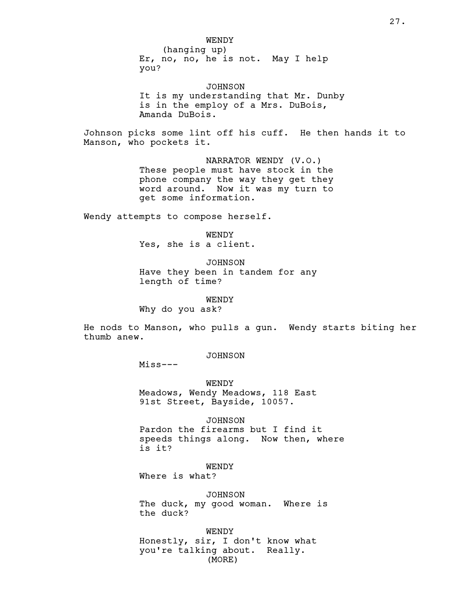WENDY (hanging up) Er, no, no, he is not. May I help you?

JOHNSON It is my understanding that Mr. Dunby is in the employ of a Mrs. DuBois, Amanda DuBois.

Johnson picks some lint off his cuff. He then hands it to Manson, who pockets it.

> NARRATOR WENDY (V.O.) These people must have stock in the phone company the way they get they word around. Now it was my turn to get some information.

Wendy attempts to compose herself.

WENDY Yes, she is a client.

JOHNSON Have they been in tandem for any length of time?

WENDY

Why do you ask?

He nods to Manson, who pulls a gun. Wendy starts biting her thumb anew.

JOHNSON

Miss---

WENDY Meadows, Wendy Meadows, 118 East 91st Street, Bayside, 10057.

JOHNSON Pardon the firearms but I find it speeds things along. Now then, where

is it?

WENDY

Where is what?

JOHNSON The duck, my good woman. Where is the duck?

WENDY Honestly, sir, I don't know what you're talking about. Really. (MORE)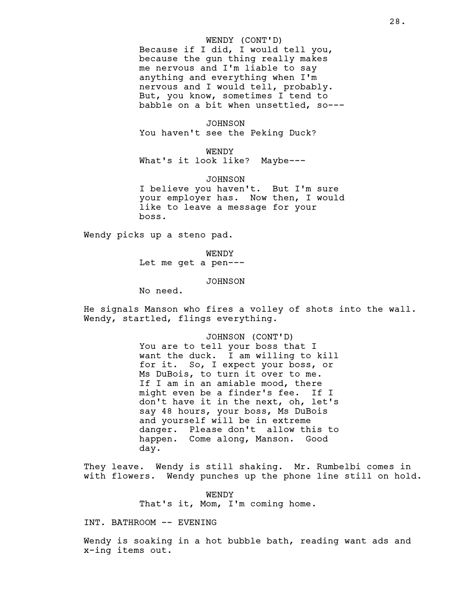# WENDY (CONT'D)

Because if I did, I would tell you, because the gun thing really makes me nervous and I'm liable to say anything and everything when I'm nervous and I would tell, probably. But, you know, sometimes I tend to babble on a bit when unsettled, so---

JOHNSON You haven't see the Peking Duck?

WENDY What's it look like? Maybe---

JOHNSON I believe you haven't. But I'm sure your employer has. Now then, I would like to leave a message for your boss.

Wendy picks up a steno pad.

WENDY Let me get a pen---

JOHNSON

No need.

He signals Manson who fires a volley of shots into the wall. Wendy, startled, flings everything.

> JOHNSON (CONT'D) You are to tell your boss that I want the duck. I am willing to kill for it. So, I expect your boss, or Ms DuBois, to turn it over to me. If I am in an amiable mood, there might even be a finder's fee. If I don't have it in the next, oh, let's say 48 hours, your boss, Ms DuBois and yourself will be in extreme danger. Please don't allow this to happen. Come along, Manson. Good day.

They leave. Wendy is still shaking. Mr. Rumbelbi comes in with flowers. Wendy punches up the phone line still on hold.

> WENDY That's it, Mom, I'm coming home.

INT. BATHROOM -- EVENING

Wendy is soaking in a hot bubble bath, reading want ads and x-ing items out.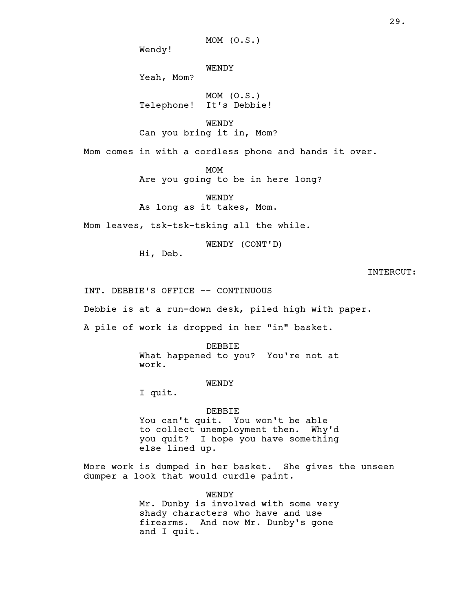MOM (O.S.)

Wendy!

WENDY

Yeah, Mom?

MOM (O.S.) Telephone! It's Debbie!

WENDY Can you bring it in, Mom?

Mom comes in with a cordless phone and hands it over.

MOM

Are you going to be in here long?

WENDY As long as it takes, Mom.

Mom leaves, tsk-tsk-tsking all the while.

WENDY (CONT'D)

Hi, Deb.

# INTERCUT:

INT. DEBBIE'S OFFICE -- CONTINUOUS

Debbie is at a run-down desk, piled high with paper.

A pile of work is dropped in her "in" basket.

DEBBIE What happened to you? You're not at work.

WENDY

I quit.

### DEBBIE

You can't quit. You won't be able to collect unemployment then. Why'd you quit? I hope you have something else lined up.

More work is dumped in her basket. She gives the unseen dumper a look that would curdle paint.

> WENDY Mr. Dunby is involved with some very shady characters who have and use firearms. And now Mr. Dunby's gone and I quit.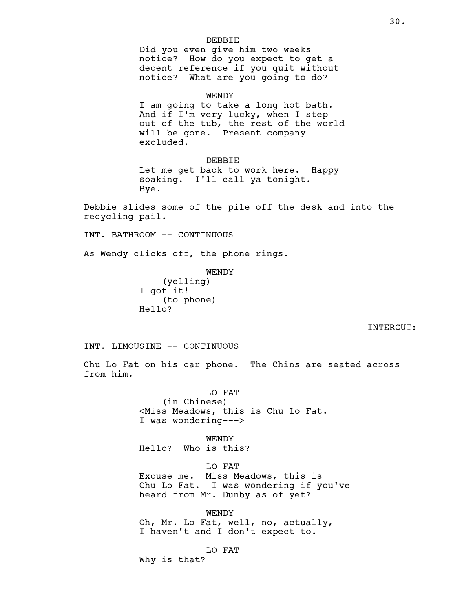### DEBBIE

Did you even give him two weeks notice? How do you expect to get a decent reference if you quit without notice? What are you going to do?

#### WENDY

I am going to take a long hot bath. And if I'm very lucky, when I step out of the tub, the rest of the world will be gone. Present company excluded.

DEBBIE Let me get back to work here. Happy soaking. I'll call ya tonight. Bye.

Debbie slides some of the pile off the desk and into the recycling pail.

INT. BATHROOM -- CONTINUOUS

As Wendy clicks off, the phone rings.

WENDY (yelling) I got it! (to phone) Hello?

INTERCUT:

INT. LIMOUSINE -- CONTINUOUS

Chu Lo Fat on his car phone. The Chins are seated across from him.

> LO FAT (in Chinese) <Miss Meadows, this is Chu Lo Fat. I was wondering--->

WENDY Hello? Who is this?

LO FAT Excuse me. Miss Meadows, this is Chu Lo Fat. I was wondering if you've heard from Mr. Dunby as of yet?

WENDY Oh, Mr. Lo Fat, well, no, actually, I haven't and I don't expect to.

LO FAT Why is that?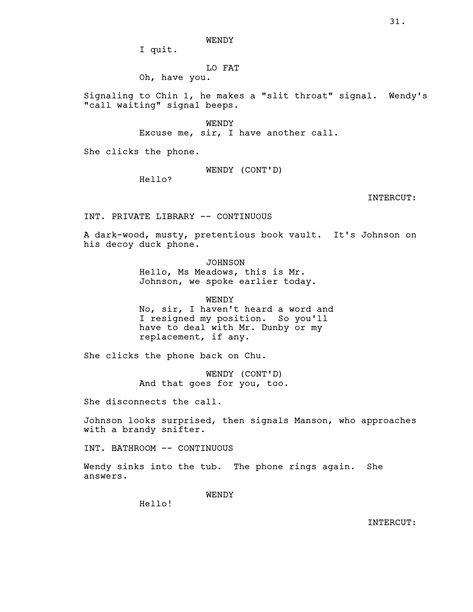WENDY

I quit.

LO FAT

Oh, have you.

Signaling to Chin 1, he makes a "slit throat" signal. Wendy's "call waiting" signal beeps.

WENDY

Excuse me, sir, I have another call.

She clicks the phone.

WENDY (CONT'D)

Hello?

INTERCUT:

INT. PRIVATE LIBRARY -- CONTINUOUS

A dark-wood, musty, pretentious book vault. It's Johnson on his decoy duck phone.

JOHNSON

Hello, Ms Meadows, this is Mr. Johnson, we spoke earlier today.

WENDY No, sir, I haven't heard a word and I resigned my position. So you'll have to deal with Mr. Dunby or my replacement, if any.

She clicks the phone back on Chu.

WENDY (CONT'D) And that goes for you, too.

She disconnects the call.

Johnson looks surprised, then signals Manson, who approaches with a brandy snifter.

INT. BATHROOM -- CONTINUOUS

Wendy sinks into the tub. The phone rings again. She answers.

WENDY

Hello!

INTERCUT: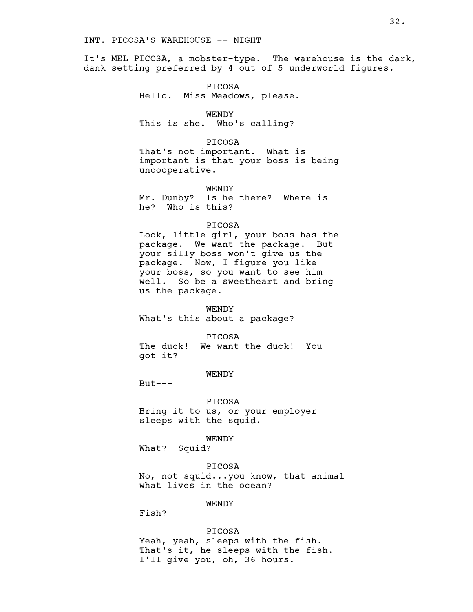It's MEL PICOSA, a mobster-type. The warehouse is the dark, dank setting preferred by 4 out of 5 underworld figures.

> PICOSA Hello. Miss Meadows, please.

WENDY This is she. Who's calling?

PICOSA

That's not important. What is important is that your boss is being uncooperative.

WENDY

Mr. Dunby? Is he there? Where is he? Who is this?

### PICOSA

Look, little girl, your boss has the package. We want the package. But your silly boss won't give us the package. Now, I figure you like your boss, so you want to see him well. So be a sweetheart and bring us the package.

WENDY

What's this about a package?

PICOSA

The duck! We want the duck! You got it?

# WENDY

 $But---$ 

PICOSA

Bring it to us, or your employer sleeps with the squid.

# WENDY

What? Squid?

PICOSA

No, not squid...you know, that animal what lives in the ocean?

WENDY

Fish?

PICOSA

Yeah, yeah, sleeps with the fish. That's it, he sleeps with the fish. I'll give you, oh, 36 hours.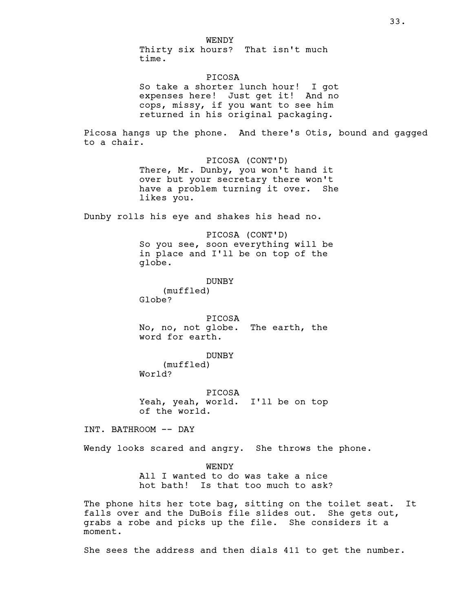WENDY

Thirty six hours? That isn't much time.

### PICOSA

So take a shorter lunch hour! I got expenses here! Just get it! And no cops, missy, if you want to see him returned in his original packaging.

Picosa hangs up the phone. And there's Otis, bound and gagged to a chair.

> PICOSA (CONT'D) There, Mr. Dunby, you won't hand it over but your secretary there won't have a problem turning it over. She likes you.

Dunby rolls his eye and shakes his head no.

PICOSA (CONT'D) So you see, soon everything will be in place and I'll be on top of the globe.

DUNBY

(muffled) Globe?

PICOSA No, no, not globe. The earth, the word for earth.

DUNBY

(muffled) World?

PICOSA Yeah, yeah, world. I'll be on top of the world.

INT. BATHROOM -- DAY

Wendy looks scared and angry. She throws the phone.

WENDY

All I wanted to do was take a nice hot bath! Is that too much to ask?

The phone hits her tote bag, sitting on the toilet seat. It falls over and the DuBois file slides out. She gets out, grabs a robe and picks up the file. She considers it a moment.

She sees the address and then dials 411 to get the number.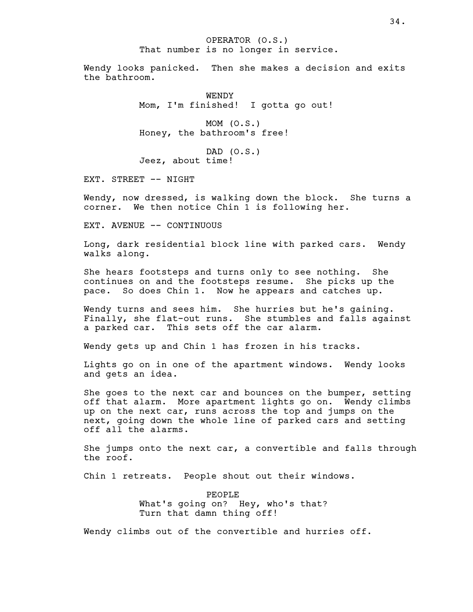# OPERATOR (O.S.)

That number is no longer in service.

Wendy looks panicked. Then she makes a decision and exits the bathroom.

> WENDY Mom, I'm finished! I gotta go out!

MOM (O.S.) Honey, the bathroom's free!

DAD (O.S.) Jeez, about time!

EXT. STREET -- NIGHT

Wendy, now dressed, is walking down the block. She turns a corner. We then notice Chin 1 is following her.

EXT. AVENUE -- CONTINUOUS

Long, dark residential block line with parked cars. Wendy walks along.

She hears footsteps and turns only to see nothing. She continues on and the footsteps resume. She picks up the pace. So does Chin 1. Now he appears and catches up.

Wendy turns and sees him. She hurries but he's gaining. Finally, she flat-out runs. She stumbles and falls against a parked car. This sets off the car alarm.

Wendy gets up and Chin 1 has frozen in his tracks.

Lights go on in one of the apartment windows. Wendy looks and gets an idea.

She goes to the next car and bounces on the bumper, setting off that alarm. More apartment lights go on. Wendy climbs up on the next car, runs across the top and jumps on the next, going down the whole line of parked cars and setting off all the alarms.

She jumps onto the next car, a convertible and falls through the roof.

Chin 1 retreats. People shout out their windows.

PEOPLE What's going on? Hey, who's that? Turn that damn thing off!

Wendy climbs out of the convertible and hurries off.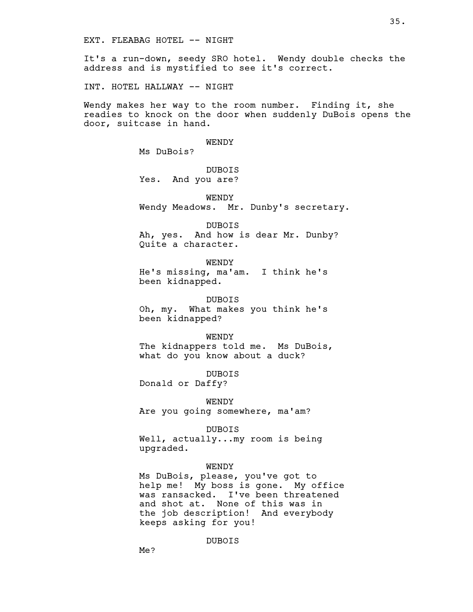It's a run-down, seedy SRO hotel. Wendy double checks the address and is mystified to see it's correct.

INT. HOTEL HALLWAY -- NIGHT

Wendy makes her way to the room number. Finding it, she readies to knock on the door when suddenly DuBois opens the door, suitcase in hand.

### WENDY

Ms DuBois?

# DUBOIS Yes. And you are?

WENDY Wendy Meadows. Mr. Dunby's secretary.

DUBOIS Ah, yes. And how is dear Mr. Dunby? Quite a character.

# WENDY

He's missing, ma'am. I think he's been kidnapped.

DUBOIS Oh, my. What makes you think he's been kidnapped?

### WENDY

The kidnappers told me. Ms DuBois, what do you know about a duck?

DUBOIS Donald or Daffy?

WENDY Are you going somewhere, ma'am?

### DUBOIS

Well, actually...my room is being upgraded.

### WENDY

Ms DuBois, please, you've got to help me! My boss is gone. My office was ransacked. I've been threatened and shot at. None of this was in the job description! And everybody keeps asking for you!

DUBOIS

Me?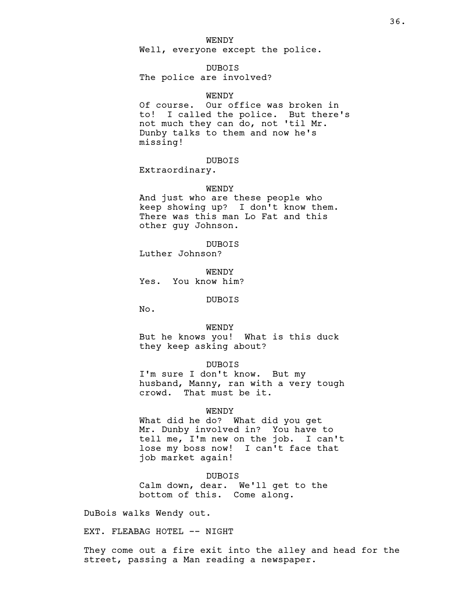WENDY Well, everyone except the police.

DUBOIS The police are involved?

#### WENDY

Of course. Our office was broken in to! I called the police. But there's not much they can do, not 'til Mr. Dunby talks to them and now he's missing!

# DUBOIS

Extraordinary.

### WENDY

And just who are these people who keep showing up? I don't know them. There was this man Lo Fat and this other guy Johnson.

DUBOIS Luther Johnson?

WENDY Yes. You know him?

## DUBOIS

No.

## WENDY

But he knows you! What is this duck they keep asking about?

# DUBOIS

I'm sure I don't know. But my husband, Manny, ran with a very tough crowd. That must be it.

#### WENDY

What did he do? What did you get Mr. Dunby involved in? You have to tell me, I'm new on the job. I can't<br>lose my boss now! I can't face that lose my boss now! job market again!

DUBOIS Calm down, dear. We'll get to the bottom of this. Come along.

DuBois walks Wendy out.

EXT. FLEABAG HOTEL -- NIGHT

They come out a fire exit into the alley and head for the street, passing a Man reading a newspaper.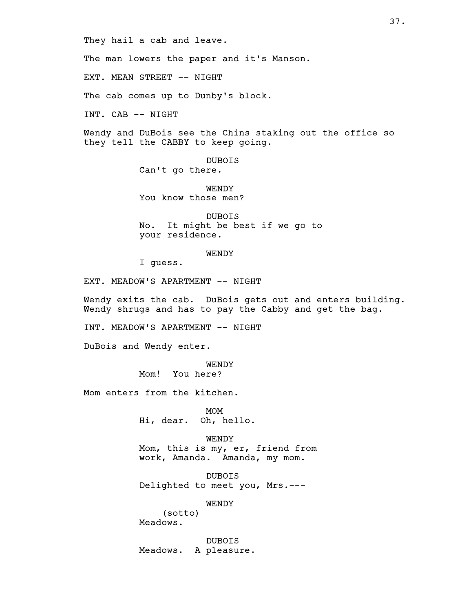They hail a cab and leave.

The man lowers the paper and it's Manson.

EXT. MEAN STREET -- NIGHT

The cab comes up to Dunby's block.

INT. CAB -- NIGHT

Wendy and DuBois see the Chins staking out the office so they tell the CABBY to keep going.

> DUBOIS Can't go there.

WENDY You know those men?

DUBOIS No. It might be best if we go to your residence.

WENDY

I guess.

EXT. MEADOW'S APARTMENT -- NIGHT

Wendy exits the cab. DuBois gets out and enters building. Wendy shrugs and has to pay the Cabby and get the bag.

INT. MEADOW'S APARTMENT -- NIGHT

DuBois and Wendy enter.

WENDY Mom! You here?

Mom enters from the kitchen.

MOM Hi, dear. Oh, hello.

WENDY Mom, this is my, er, friend from work, Amanda. Amanda, my mom.

DUBOIS Delighted to meet you, Mrs.---

WENDY

(sotto) Meadows.

DUBOIS Meadows. A pleasure.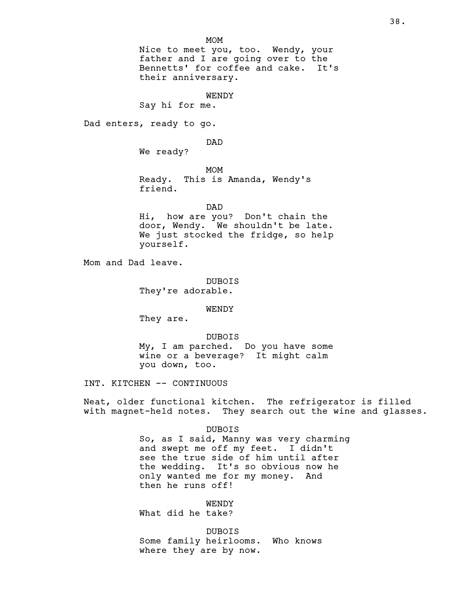MOM Nice to meet you, too. Wendy, your father and I are going over to the Bennetts' for coffee and cake. It's their anniversary.

WENDY

Say hi for me.

Dad enters, ready to go.

DAD

We ready?

MOM Ready. This is Amanda, Wendy's friend.

DAD

Hi, how are you? Don't chain the door, Wendy. We shouldn't be late. We just stocked the fridge, so help yourself.

Mom and Dad leave.

DUBOIS They're adorable.

WENDY

They are.

DUBOIS My, I am parched. Do you have some wine or a beverage? It might calm you down, too.

INT. KITCHEN -- CONTINUOUS

Neat, older functional kitchen. The refrigerator is filled with magnet-held notes. They search out the wine and glasses.

DUBOIS

So, as I said, Manny was very charming and swept me off my feet. I didn't see the true side of him until after the wedding. It's so obvious now he only wanted me for my money. And then he runs off!

WENDY What did he take?

DUBOIS Some family heirlooms. Who knows where they are by now.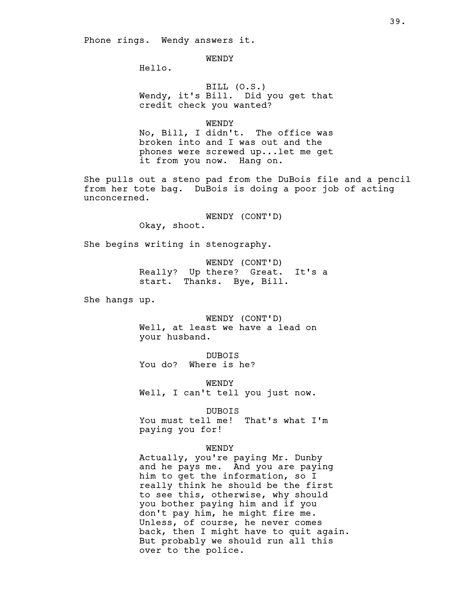Phone rings. Wendy answers it.

WENDY

Hello.

BILL (O.S.) Wendy, it's Bill. Did you get that credit check you wanted?

WENDY

No, Bill, I didn't. The office was broken into and I was out and the phones were screwed up...let me get it from you now. Hang on.

She pulls out a steno pad from the DuBois file and a pencil from her tote bag. DuBois is doing a poor job of acting unconcerned.

WENDY (CONT'D)

Okay, shoot.

She begins writing in stenography.

WENDY (CONT'D) Really? Up there? Great. It's a start. Thanks. Bye, Bill.

She hangs up.

WENDY (CONT'D) Well, at least we have a lead on your husband.

DUBOIS You do? Where is he?

WENDY Well, I can't tell you just now.

DUBOIS

You must tell me! That's what I'm paying you for!

# WENDY

Actually, you're paying Mr. Dunby and he pays me. And you are paying him to get the information, so I really think he should be the first to see this, otherwise, why should you bother paying him and if you don't pay him, he might fire me. Unless, of course, he never comes back, then I might have to quit again. But probably we should run all this over to the police.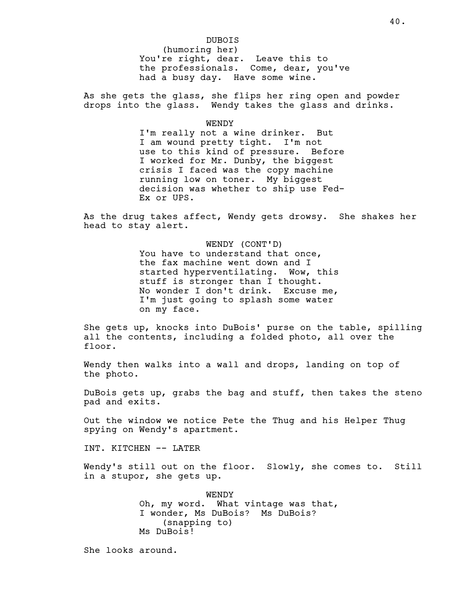DUBOIS (humoring her) You're right, dear. Leave this to the professionals. Come, dear, you've had a busy day. Have some wine.

As she gets the glass, she flips her ring open and powder drops into the glass. Wendy takes the glass and drinks.

#### WENDY

I'm really not a wine drinker. But I am wound pretty tight. I'm not use to this kind of pressure. Before I worked for Mr. Dunby, the biggest crisis I faced was the copy machine running low on toner. My biggest decision was whether to ship use Fed-Ex or UPS.

As the drug takes affect, Wendy gets drowsy. She shakes her head to stay alert.

> WENDY (CONT'D) You have to understand that once, the fax machine went down and I started hyperventilating. Wow, this stuff is stronger than I thought. No wonder I don't drink. Excuse me, I'm just going to splash some water on my face.

She gets up, knocks into DuBois' purse on the table, spilling all the contents, including a folded photo, all over the floor.

Wendy then walks into a wall and drops, landing on top of the photo.

DuBois gets up, grabs the bag and stuff, then takes the steno pad and exits.

Out the window we notice Pete the Thug and his Helper Thug spying on Wendy's apartment.

INT. KITCHEN -- LATER

Wendy's still out on the floor. Slowly, she comes to. Still in a stupor, she gets up.

> WENDY Oh, my word. What vintage was that, I wonder, Ms DuBois? Ms DuBois? (snapping to) Ms DuBois!

She looks around.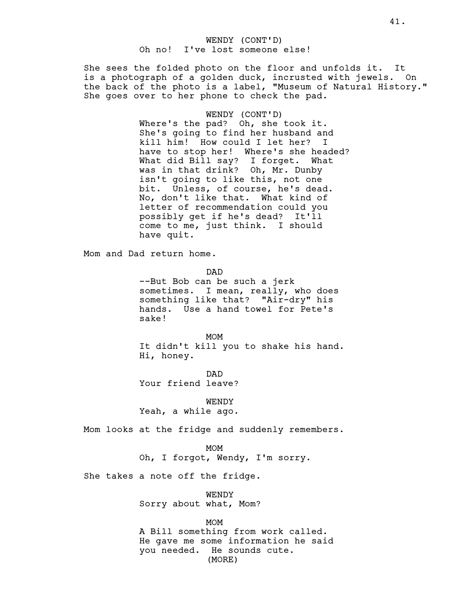# WENDY (CONT'D) Oh no! I've lost someone else!

She sees the folded photo on the floor and unfolds it. It is a photograph of a golden duck, incrusted with jewels. On the back of the photo is a label, "Museum of Natural History." She goes over to her phone to check the pad.

# WENDY (CONT'D)

Where's the pad? Oh, she took it. She's going to find her husband and kill him! How could I let her? I have to stop her! Where's she headed? What did Bill say? I forget. What was in that drink? Oh, Mr. Dunby isn't going to like this, not one bit. Unless, of course, he's dead. No, don't like that. What kind of letter of recommendation could you possibly get if he's dead? It'll come to me, just think. I should have quit.

Mom and Dad return home.

DAD --But Bob can be such a jerk sometimes. I mean, really, who does something like that? "Air-dry" his hands. Use a hand towel for Pete's sake!

MOM It didn't kill you to shake his hand. Hi, honey.

DAD Your friend leave?

WENDY Yeah, a while ago.

Mom looks at the fridge and suddenly remembers.

MOM Oh, I forgot, Wendy, I'm sorry.

She takes a note off the fridge.

WENDY Sorry about what, Mom?

MOM

A Bill something from work called. He gave me some information he said you needed. He sounds cute. (MORE)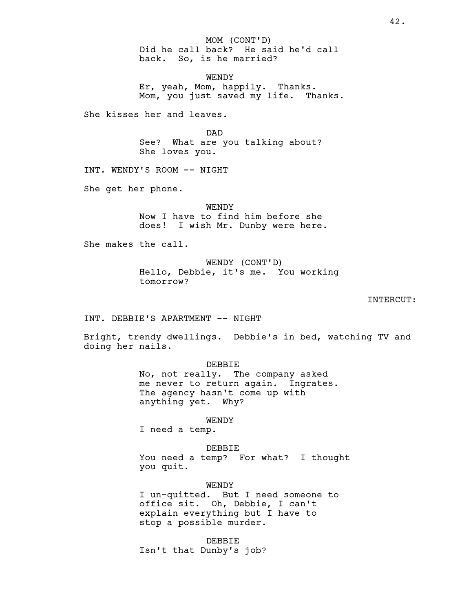MOM (CONT'D) Did he call back? He said he'd call back. So, is he married?

WENDY Er, yeah, Mom, happily. Thanks. Mom, you just saved my life. Thanks.

She kisses her and leaves.

DAD See? What are you talking about? She loves you.

INT. WENDY'S ROOM -- NIGHT

She get her phone.

WENDY Now I have to find him before she does! I wish Mr. Dunby were here.

She makes the call.

WENDY (CONT'D) Hello, Debbie, it's me. You working tomorrow?

INTERCUT:

INT. DEBBIE'S APARTMENT -- NIGHT

Bright, trendy dwellings. Debbie's in bed, watching TV and doing her nails.

> DEBBIE No, not really. The company asked me never to return again. Ingrates. The agency hasn't come up with anything yet. Why?

WENDY I need a temp.

DEBBIE You need a temp? For what? I thought you quit.

WENDY I un-quitted. But I need someone to office sit. Oh, Debbie, I can't explain everything but I have to stop a possible murder.

DEBBIE Isn't that Dunby's job?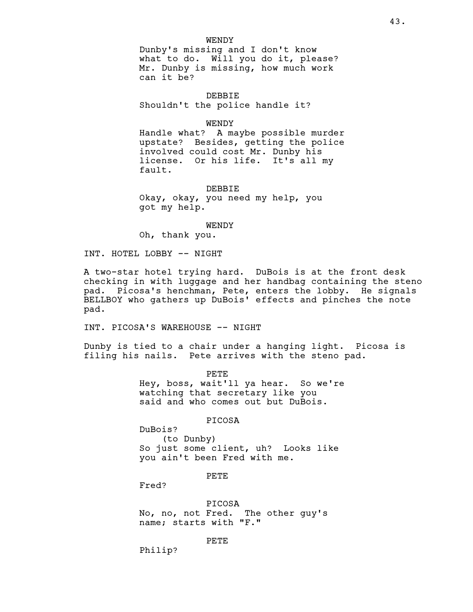WENDY

Dunby's missing and I don't know what to do. Will you do it, please? Mr. Dunby is missing, how much work can it be?

DEBBIE Shouldn't the police handle it?

WENDY

Handle what? A maybe possible murder upstate? Besides, getting the police involved could cost Mr. Dunby his license. Or his life. It's all my fault.

DEBBIE Okay, okay, you need my help, you got my help.

WENDY

Oh, thank you.

INT. HOTEL LOBBY -- NIGHT

A two-star hotel trying hard. DuBois is at the front desk checking in with luggage and her handbag containing the steno pad. Picosa's henchman, Pete, enters the lobby. He signals BELLBOY who gathers up DuBois' effects and pinches the note pad.

INT. PICOSA'S WAREHOUSE -- NIGHT

Dunby is tied to a chair under a hanging light. Picosa is filing his nails. Pete arrives with the steno pad.

> PETE Hey, boss, wait'll ya hear. So we're watching that secretary like you said and who comes out but DuBois.

> > PICOSA

DuBois? (to Dunby) So just some client, uh? Looks like you ain't been Fred with me.

PETE

Fred?

PICOSA No, no, not Fred. The other guy's name; starts with "F."

PETE

Philip?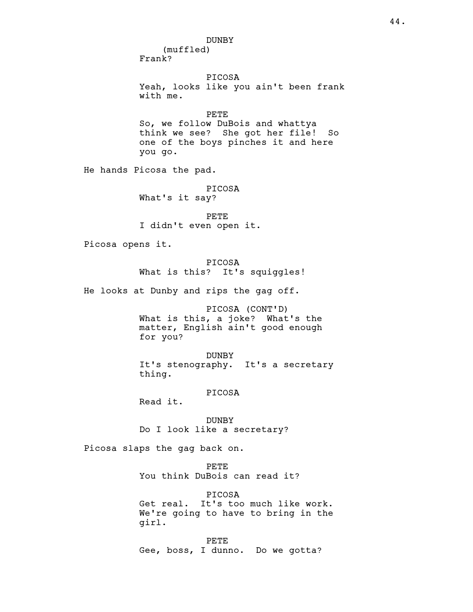DUNBY (muffled) Frank? PICOSA Yeah, looks like you ain't been frank with me. PETE So, we follow DuBois and whattya think we see? She got her file! So one of the boys pinches it and here you go. He hands Picosa the pad. PICOSA What's it say? PETE I didn't even open it. Picosa opens it. PICOSA What is this? It's squiggles! He looks at Dunby and rips the gag off. PICOSA (CONT'D) What is this, a joke? What's the matter, English ain't good enough for you? DUNBY It's stenography. It's a secretary thing. PICOSA Read it. DUNBY Do I look like a secretary? Picosa slaps the gag back on. PETE You think DuBois can read it? PICOSA Get real. It's too much like work. We're going to have to bring in the girl. PETE Gee, boss, I dunno. Do we gotta?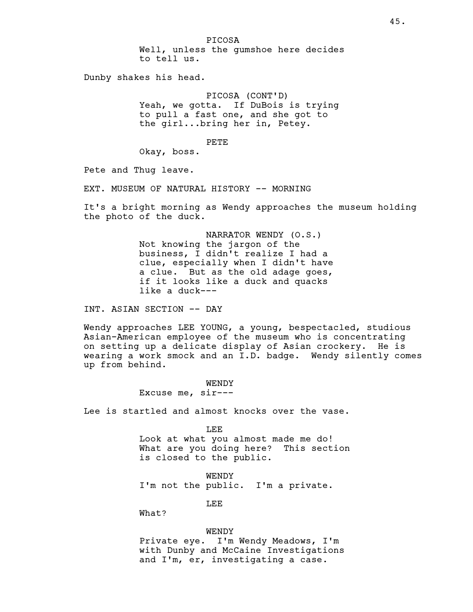Dunby shakes his head.

PICOSA (CONT'D) Yeah, we gotta. If DuBois is trying to pull a fast one, and she got to the girl...bring her in, Petey.

PETE

Okay, boss.

Pete and Thug leave.

EXT. MUSEUM OF NATURAL HISTORY -- MORNING

It's a bright morning as Wendy approaches the museum holding the photo of the duck.

> NARRATOR WENDY (O.S.) Not knowing the jargon of the business, I didn't realize I had a clue, especially when I didn't have a clue. But as the old adage goes, if it looks like a duck and quacks like a duck---

INT. ASIAN SECTION -- DAY

Wendy approaches LEE YOUNG, a young, bespectacled, studious Asian-American employee of the museum who is concentrating on setting up a delicate display of Asian crockery. He is wearing a work smock and an I.D. badge. Wendy silently comes up from behind.

> WENDY Excuse me, sir---

Lee is startled and almost knocks over the vase.

LEE Look at what you almost made me do! What are you doing here? This section is closed to the public.

WENDY I'm not the public. I'm a private.

LEE

What?

WENDY

Private eye. I'm Wendy Meadows, I'm with Dunby and McCaine Investigations and I'm, er, investigating a case.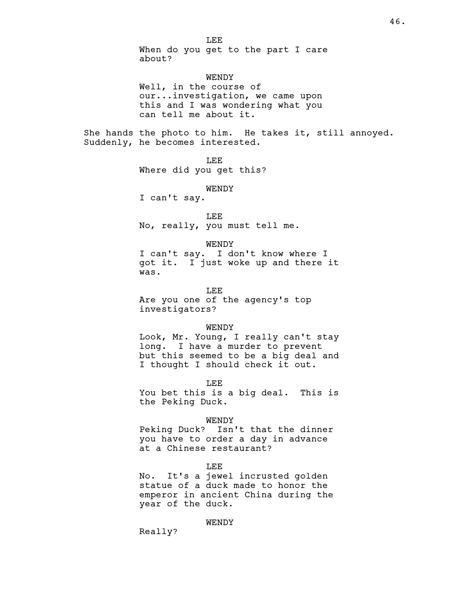LEE When do you get to the part I care about?

# WENDY

Well, in the course of our...investigation, we came upon this and I was wondering what you can tell me about it.

She hands the photo to him. He takes it, still annoyed. Suddenly, he becomes interested.

LEE

Where did you get this?

WENDY

I can't say.

LEE No, really, you must tell me.

### WENDY

I can't say. I don't know where I got it. I just woke up and there it was.

LEE

Are you one of the agency's top investigators?

### WENDY

Look, Mr. Young, I really can't stay long. I have a murder to prevent but this seemed to be a big deal and I thought I should check it out.

LEE

You bet this is a big deal. This is the Peking Duck.

## WENDY

Peking Duck? Isn't that the dinner you have to order a day in advance at a Chinese restaurant?

# LEE

No. It's a jewel incrusted golden statue of a duck made to honor the emperor in ancient China during the year of the duck.

# WENDY

Really?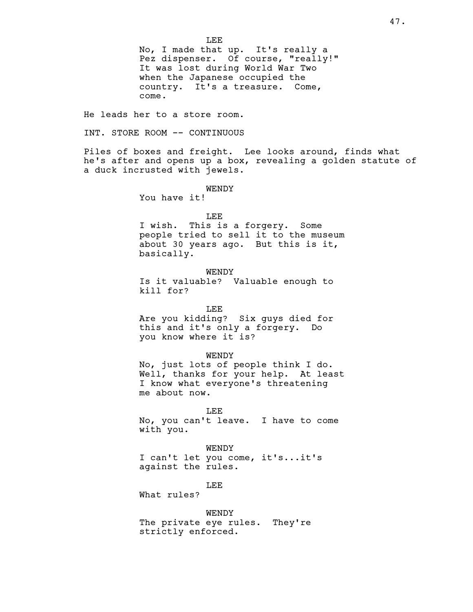He leads her to a store room.

INT. STORE ROOM -- CONTINUOUS

Piles of boxes and freight. Lee looks around, finds what he's after and opens up a box, revealing a golden statute of a duck incrusted with jewels.

WENDY

You have it!

LEE

I wish. This is a forgery. Some people tried to sell it to the museum about 30 years ago. But this is it, basically.

WENDY Is it valuable? Valuable enough to kill for?

LEE

Are you kidding? Six guys died for this and it's only a forgery. Do you know where it is?

WENDY

No, just lots of people think I do. Well, thanks for your help. At least I know what everyone's threatening me about now.

LEE No, you can't leave. I have to come with you.

WENDY I can't let you come, it's...it's against the rules.

LEE

What rules?

WENDY

The private eye rules. They're strictly enforced.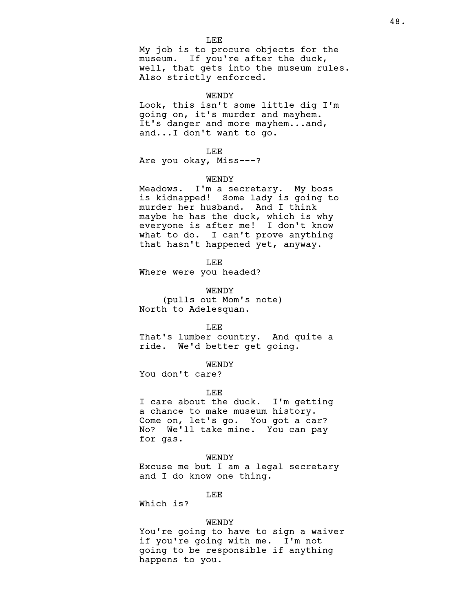LEE

My job is to procure objects for the museum. If you're after the duck, well, that gets into the museum rules. Also strictly enforced.

#### WENDY

Look, this isn't some little dig I'm going on, it's murder and mayhem. It's danger and more mayhem...and, and...I don't want to go.

LEE

Are you okay, Miss---?

#### WENDY

Meadows. I'm a secretary. My boss is kidnapped! Some lady is going to murder her husband. And I think maybe he has the duck, which is why everyone is after me! I don't know what to do. I can't prove anything that hasn't happened yet, anyway.

LEE

Where were you headed?

WENDY (pulls out Mom's note) North to Adelesquan.

LEE

That's lumber country. And quite a ride. We'd better get going.

WENDY

You don't care?

## LEE

I care about the duck. I'm getting a chance to make museum history. Come on, let's go. You got a car? No? We'll take mine. You can pay for gas.

WENDY

Excuse me but I am a legal secretary and I do know one thing.

LEE

Which is?

#### WENDY

You're going to have to sign a waiver if you're going with me. I'm not going to be responsible if anything happens to you.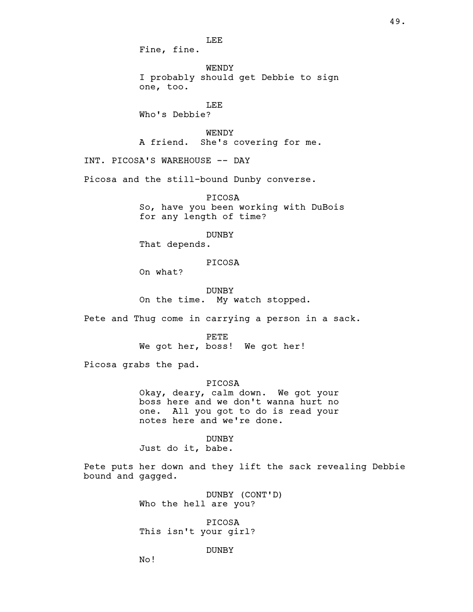LEE

Fine, fine.

WENDY I probably should get Debbie to sign one, too.

LEE

Who's Debbie?

WENDY

A friend. She's covering for me.

INT. PICOSA'S WAREHOUSE -- DAY

Picosa and the still-bound Dunby converse.

PICOSA So, have you been working with DuBois for any length of time?

DUNBY

That depends.

PICOSA

On what?

DUNBY On the time. My watch stopped.

Pete and Thug come in carrying a person in a sack.

PETE

We got her, boss! We got her!

Picosa grabs the pad.

PICOSA

Okay, deary, calm down. We got your boss here and we don't wanna hurt no one. All you got to do is read your notes here and we're done.

DUNBY Just do it, babe.

Pete puts her down and they lift the sack revealing Debbie bound and gagged.

> DUNBY (CONT'D) Who the hell are you?

PICOSA This isn't your girl?

DUNBY

No!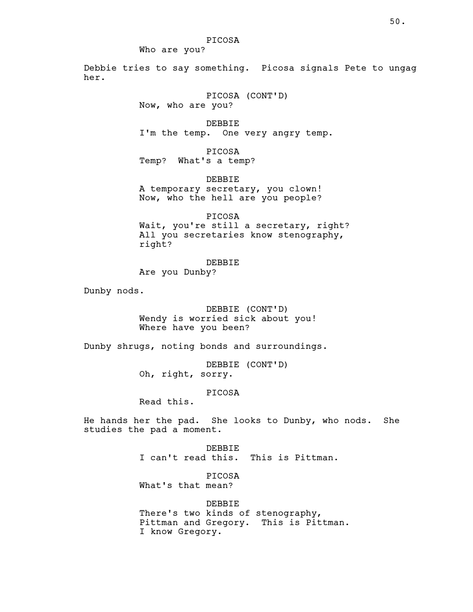## PICOSA

Who are you?

Debbie tries to say something. Picosa signals Pete to ungag her.

> PICOSA (CONT'D) Now, who are you?

DEBBIE I'm the temp. One very angry temp.

PICOSA Temp? What's a temp?

DEBBIE A temporary secretary, you clown! Now, who the hell are you people?

PICOSA Wait, you're still a secretary, right? All you secretaries know stenography, right?

DEBBIE

Are you Dunby?

Dunby nods.

DEBBIE (CONT'D) Wendy is worried sick about you! Where have you been?

Dunby shrugs, noting bonds and surroundings.

DEBBIE (CONT'D) Oh, right, sorry.

PICOSA

Read this.

He hands her the pad. She looks to Dunby, who nods. She studies the pad a moment.

> DEBBIE I can't read this. This is Pittman.

PICOSA What's that mean?

DEBBIE There's two kinds of stenography, Pittman and Gregory. This is Pittman. I know Gregory.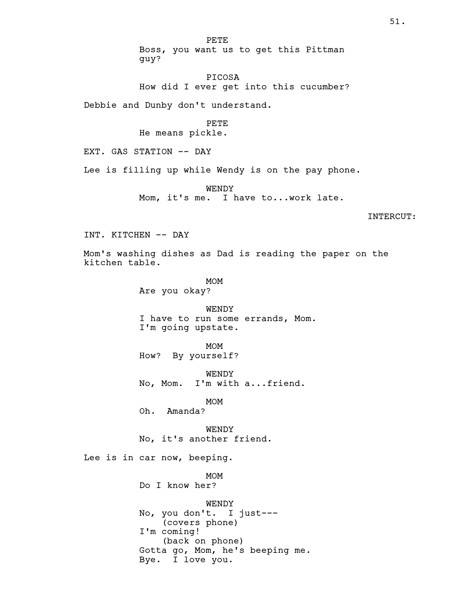PETE Boss, you want us to get this Pittman guy? PICOSA How did I ever get into this cucumber? Debbie and Dunby don't understand. PETE He means pickle. EXT. GAS STATION -- DAY Lee is filling up while Wendy is on the pay phone. WENDY Mom, it's me. I have to...work late. INT. KITCHEN -- DAY Mom's washing dishes as Dad is reading the paper on the kitchen table. MOM Are you okay? WENDY I have to run some errands, Mom. I'm going upstate. MOM How? By yourself? WENDY No, Mom. I'm with a...friend. MOM Oh. Amanda? WENDY No, it's another friend. Lee is in car now, beeping. MOM Do I know her? WENDY No, you don't. I just--- (covers phone) I'm coming! (back on phone) Gotta go, Mom, he's beeping me. Bye. I love you.

51.

INTERCUT: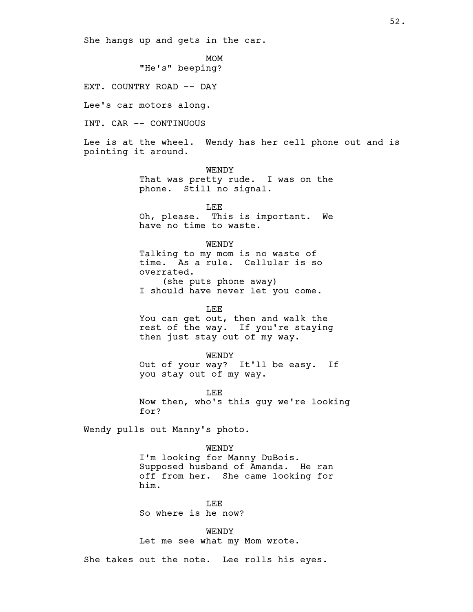She hangs up and gets in the car.

MOM "He's" beeping?

EXT. COUNTRY ROAD -- DAY

Lee's car motors along.

INT. CAR -- CONTINUOUS

Lee is at the wheel. Wendy has her cell phone out and is pointing it around.

> WENDY That was pretty rude. I was on the phone. Still no signal.

> > LEE

Oh, please. This is important. We have no time to waste.

WENDY

Talking to my mom is no waste of time. As a rule. Cellular is so overrated. (she puts phone away)

I should have never let you come.

LEE

You can get out, then and walk the rest of the way. If you're staying then just stay out of my way.

WENDY

Out of your way? It'll be easy. If you stay out of my way.

LEE Now then, who's this guy we're looking for?

Wendy pulls out Manny's photo.

WENDY

I'm looking for Manny DuBois. Supposed husband of Amanda. He ran off from her. She came looking for him.

LEE So where is he now?

WENDY Let me see what my Mom wrote.

She takes out the note. Lee rolls his eyes.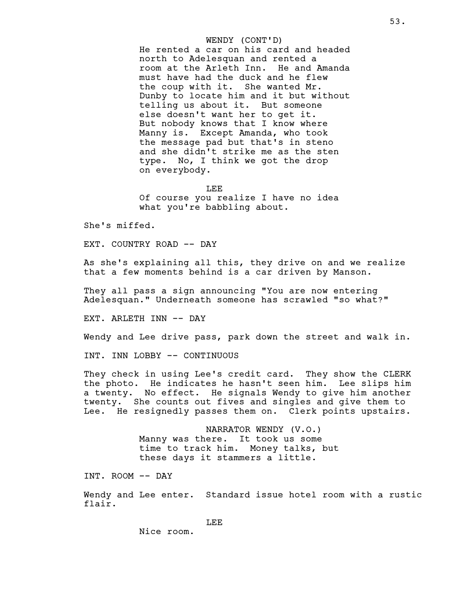# WENDY (CONT'D)

He rented a car on his card and headed north to Adelesquan and rented a room at the Arleth Inn. He and Amanda must have had the duck and he flew the coup with it. She wanted Mr. Dunby to locate him and it but without telling us about it. But someone else doesn't want her to get it. But nobody knows that I know where Manny is. Except Amanda, who took the message pad but that's in steno and she didn't strike me as the sten type. No, I think we got the drop on everybody.

LEE

Of course you realize I have no idea what you're babbling about.

She's miffed.

EXT. COUNTRY ROAD -- DAY

As she's explaining all this, they drive on and we realize that a few moments behind is a car driven by Manson.

They all pass a sign announcing "You are now entering Adelesquan." Underneath someone has scrawled "so what?"

EXT. ARLETH INN -- DAY

Wendy and Lee drive pass, park down the street and walk in.

INT. INN LOBBY -- CONTINUOUS

They check in using Lee's credit card. They show the CLERK the photo. He indicates he hasn't seen him. Lee slips him a twenty. No effect. He signals Wendy to give him another twenty. She counts out fives and singles and give them to Lee. He resignedly passes them on. Clerk points upstairs.

> NARRATOR WENDY (V.O.) Manny was there. It took us some time to track him. Money talks, but these days it stammers a little.

INT. ROOM -- DAY

Wendy and Lee enter. Standard issue hotel room with a rustic flair.

LEE

Nice room.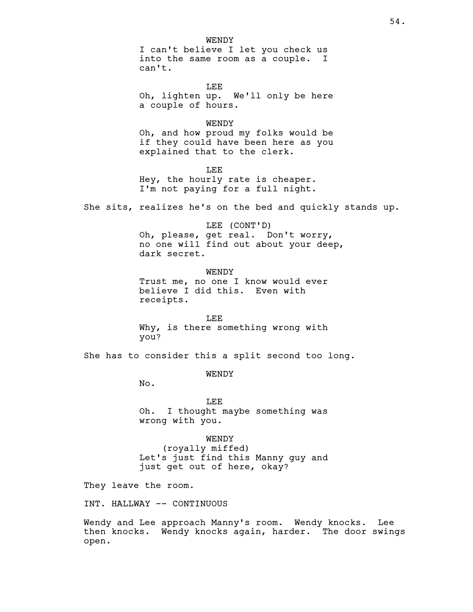WENDY

I can't believe I let you check us into the same room as a couple. I can't.

LEE Oh, lighten up. We'll only be here a couple of hours.

## WENDY

Oh, and how proud my folks would be if they could have been here as you explained that to the clerk.

LEE Hey, the hourly rate is cheaper. I'm not paying for a full night.

She sits, realizes he's on the bed and quickly stands up.

LEE (CONT'D) Oh, please, get real. Don't worry, no one will find out about your deep, dark secret.

WENDY Trust me, no one I know would ever believe I did this. Even with receipts.

LEE

Why, is there something wrong with you?

She has to consider this a split second too long.

WENDY

No.

LEE Oh. I thought maybe something was wrong with you.

WENDY (royally miffed) Let's just find this Manny guy and just get out of here, okay?

They leave the room.

INT. HALLWAY -- CONTINUOUS

Wendy and Lee approach Manny's room. Wendy knocks. Lee then knocks. Wendy knocks again, harder. The door swings open.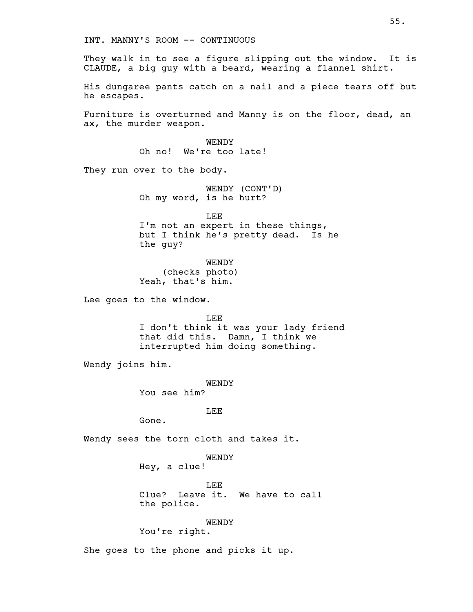INT. MANNY'S ROOM -- CONTINUOUS

They walk in to see a figure slipping out the window. It is CLAUDE, a big guy with a beard, wearing a flannel shirt.

His dungaree pants catch on a nail and a piece tears off but he escapes.

Furniture is overturned and Manny is on the floor, dead, an ax, the murder weapon.

> WENDY Oh no! We're too late!

They run over to the body.

WENDY (CONT'D) Oh my word, is he hurt?

LEE

I'm not an expert in these things, but I think he's pretty dead. Is he the guy?

WENDY

(checks photo) Yeah, that's him.

Lee goes to the window.

LEE

I don't think it was your lady friend that did this. Damn, I think we interrupted him doing something.

Wendy joins him.

WENDY

You see him?

LEE

Gone.

Wendy sees the torn cloth and takes it.

WENDY

Hey, a clue!

LEE Clue? Leave it. We have to call the police.

WENDY

You're right.

She goes to the phone and picks it up.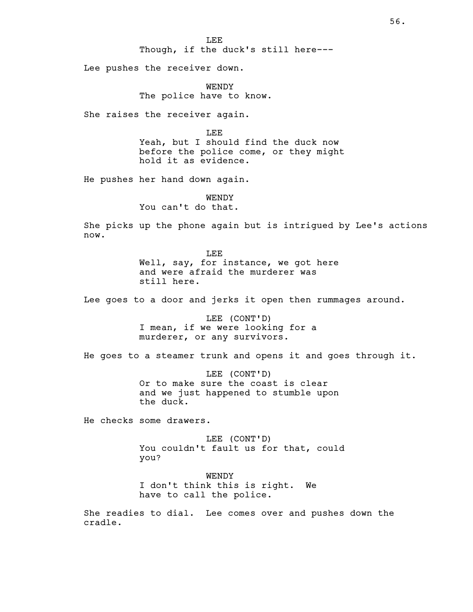LEE

Though, if the duck's still here---

Lee pushes the receiver down.

WENDY The police have to know.

She raises the receiver again.

LEE Yeah, but I should find the duck now before the police come, or they might hold it as evidence.

He pushes her hand down again.

WENDY You can't do that.

She picks up the phone again but is intrigued by Lee's actions now.

> LEE Well, say, for instance, we got here and were afraid the murderer was still here.

Lee goes to a door and jerks it open then rummages around.

LEE (CONT'D) I mean, if we were looking for a murderer, or any survivors.

He goes to a steamer trunk and opens it and goes through it.

LEE (CONT'D) Or to make sure the coast is clear and we just happened to stumble upon the duck.

He checks some drawers.

LEE (CONT'D) You couldn't fault us for that, could you?

WENDY I don't think this is right. We have to call the police.

She readies to dial. Lee comes over and pushes down the cradle.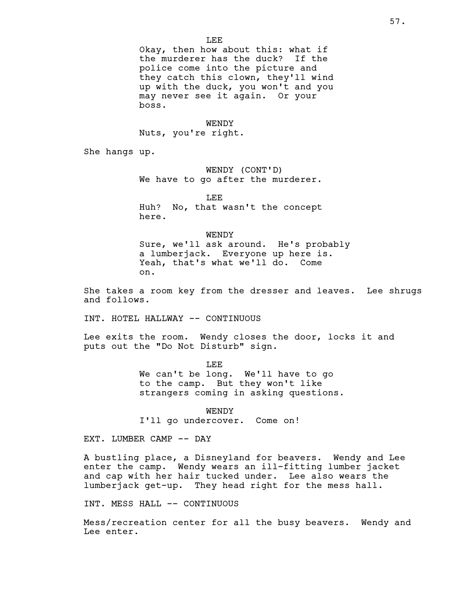Okay, then how about this: what if the murderer has the duck? If the police come into the picture and they catch this clown, they'll wind up with the duck, you won't and you may never see it again. Or your boss.

# WENDY

Nuts, you're right.

She hangs up.

WENDY (CONT'D) We have to go after the murderer.

LEE Huh? No, that wasn't the concept here.

WENDY Sure, we'll ask around. He's probably a lumberjack. Everyone up here is. Yeah, that's what we'll do. Come on.

She takes a room key from the dresser and leaves. Lee shrugs and follows.

INT. HOTEL HALLWAY -- CONTINUOUS

Lee exits the room. Wendy closes the door, locks it and puts out the "Do Not Disturb" sign.

> LEE We can't be long. We'll have to go to the camp. But they won't like strangers coming in asking questions.

WENDY I'll go undercover. Come on!

EXT. LUMBER CAMP -- DAY

A bustling place, a Disneyland for beavers. Wendy and Lee enter the camp. Wendy wears an ill-fitting lumber jacket and cap with her hair tucked under. Lee also wears the lumberjack get-up. They head right for the mess hall.

INT. MESS HALL -- CONTINUOUS

Mess/recreation center for all the busy beavers. Wendy and Lee enter.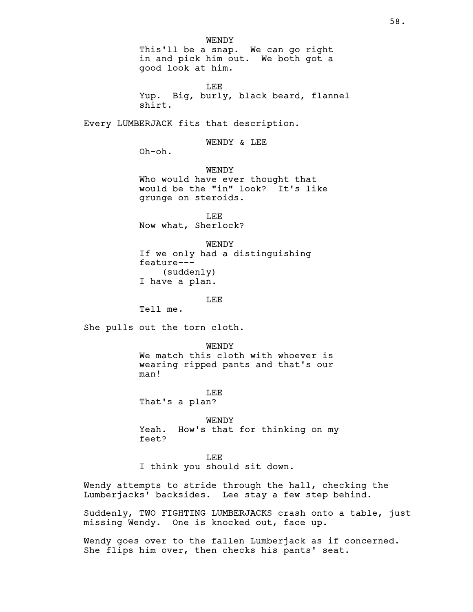WENDY

This'll be a snap. We can go right in and pick him out. We both got a good look at him.

LEE Yup. Big, burly, black beard, flannel shirt.

Every LUMBERJACK fits that description.

WENDY & LEE

Oh-oh.

WENDY Who would have ever thought that would be the "in" look? It's like grunge on steroids.

LEE Now what, Sherlock?

WENDY If we only had a distinguishing feature--- (suddenly) I have a plan.

LEE

Tell me.

She pulls out the torn cloth.

WENDY We match this cloth with whoever is wearing ripped pants and that's our man!

LEE

That's a plan?

WENDY Yeah. How's that for thinking on my feet?

LEE I think you should sit down.

Wendy attempts to stride through the hall, checking the Lumberjacks' backsides. Lee stay a few step behind.

Suddenly, TWO FIGHTING LUMBERJACKS crash onto a table, just missing Wendy. One is knocked out, face up.

Wendy goes over to the fallen Lumberjack as if concerned. She flips him over, then checks his pants' seat.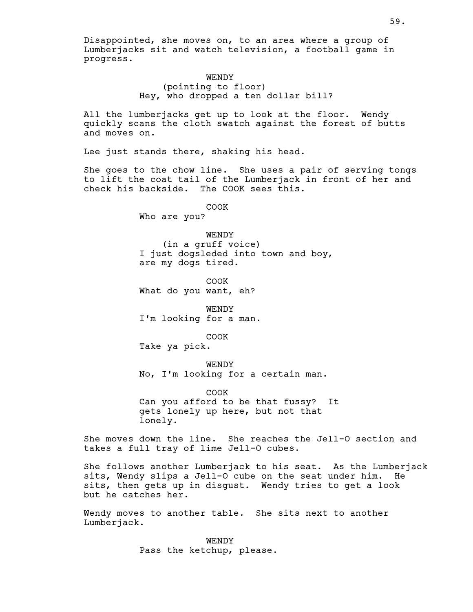Disappointed, she moves on, to an area where a group of Lumberjacks sit and watch television, a football game in progress.

# WENDY

(pointing to floor) Hey, who dropped a ten dollar bill?

All the lumberjacks get up to look at the floor. Wendy quickly scans the cloth swatch against the forest of butts and moves on.

Lee just stands there, shaking his head.

She goes to the chow line. She uses a pair of serving tongs to lift the coat tail of the Lumberjack in front of her and check his backside. The COOK sees this.

COOK

Who are you?

## WENDY

(in a gruff voice) I just dogsleded into town and boy, are my dogs tired.

COOK What do you want, eh?

WENDY I'm looking for a man.

COOK Take ya pick.

WENDY

No, I'm looking for a certain man.

COOK Can you afford to be that fussy? It gets lonely up here, but not that lonely.

She moves down the line. She reaches the Jell-O section and takes a full tray of lime Jell-O cubes.

She follows another Lumberjack to his seat. As the Lumberjack sits, Wendy slips a Jell-O cube on the seat under him. He sits, then gets up in disgust. Wendy tries to get a look but he catches her.

Wendy moves to another table. She sits next to another Lumberjack.

> WENDY Pass the ketchup, please.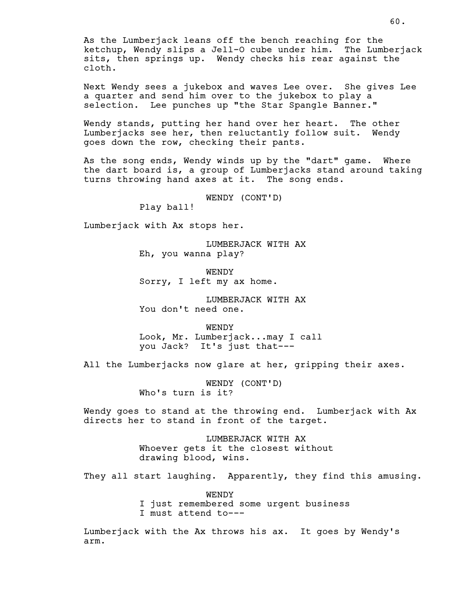As the Lumberjack leans off the bench reaching for the ketchup, Wendy slips a Jell-O cube under him. The Lumberjack sits, then springs up. Wendy checks his rear against the cloth.

Next Wendy sees a jukebox and waves Lee over. She gives Lee a quarter and send him over to the jukebox to play a selection. Lee punches up "the Star Spangle Banner."

Wendy stands, putting her hand over her heart. The other Lumberjacks see her, then reluctantly follow suit. Wendy goes down the row, checking their pants.

As the song ends, Wendy winds up by the "dart" game. Where the dart board is, a group of Lumberjacks stand around taking turns throwing hand axes at it. The song ends.

WENDY (CONT'D)

Play ball!

Lumberjack with Ax stops her.

LUMBERJACK WITH AX Eh, you wanna play?

WENDY Sorry, I left my ax home.

LUMBERJACK WITH AX You don't need one.

WENDY Look, Mr. Lumberjack...may I call you Jack? It's just that---

All the Lumberjacks now glare at her, gripping their axes.

WENDY (CONT'D) Who's turn is it?

Wendy goes to stand at the throwing end. Lumberjack with Ax directs her to stand in front of the target.

> LUMBERJACK WITH AX Whoever gets it the closest without drawing blood, wins.

They all start laughing. Apparently, they find this amusing.

WENDY I just remembered some urgent business I must attend to---

Lumberjack with the Ax throws his ax. It goes by Wendy's arm.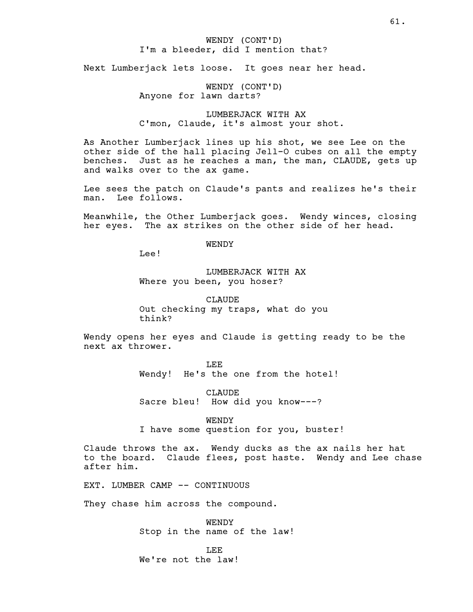# WENDY (CONT'D) I'm a bleeder, did I mention that?

Next Lumberjack lets loose. It goes near her head.

WENDY (CONT'D) Anyone for lawn darts?

LUMBERJACK WITH AX C'mon, Claude, it's almost your shot.

As Another Lumberjack lines up his shot, we see Lee on the other side of the hall placing Jell-O cubes on all the empty benches. Just as he reaches a man, the man, CLAUDE, gets up and walks over to the ax game.

Lee sees the patch on Claude's pants and realizes he's their man. Lee follows.

Meanwhile, the Other Lumberjack goes. Wendy winces, closing her eyes. The ax strikes on the other side of her head.

WENDY

Lee!

LUMBERJACK WITH AX Where you been, you hoser?

CLAUDE Out checking my traps, what do you think?

Wendy opens her eyes and Claude is getting ready to be the next ax thrower.

> LEE Wendy! He's the one from the hotel!

CLAUDE Sacre bleu! How did you know---?

WENDY I have some question for you, buster!

Claude throws the ax. Wendy ducks as the ax nails her hat to the board. Claude flees, post haste. Wendy and Lee chase after him.

EXT. LUMBER CAMP -- CONTINUOUS

They chase him across the compound.

WENDY Stop in the name of the law!

LEE We're not the law!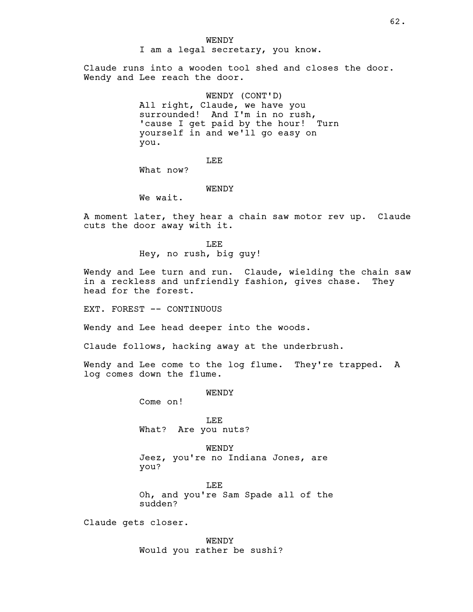WENDY I am a legal secretary, you know.

Claude runs into a wooden tool shed and closes the door. Wendy and Lee reach the door.

> WENDY (CONT'D) All right, Claude, we have you surrounded! And I'm in no rush, 'cause I get paid by the hour! Turn yourself in and we'll go easy on you.

> > LEE

What now?

WENDY

We wait.

A moment later, they hear a chain saw motor rev up. Claude cuts the door away with it.

> LEE Hey, no rush, big guy!

Wendy and Lee turn and run. Claude, wielding the chain saw in a reckless and unfriendly fashion, gives chase. They head for the forest.

EXT. FOREST -- CONTINUOUS

Wendy and Lee head deeper into the woods.

Claude follows, hacking away at the underbrush.

Wendy and Lee come to the log flume. They're trapped. A log comes down the flume.

WENDY

Come on!

LEE What? Are you nuts?

WENDY Jeez, you're no Indiana Jones, are you?

LEE Oh, and you're Sam Spade all of the sudden?

Claude gets closer.

WENDY Would you rather be sushi?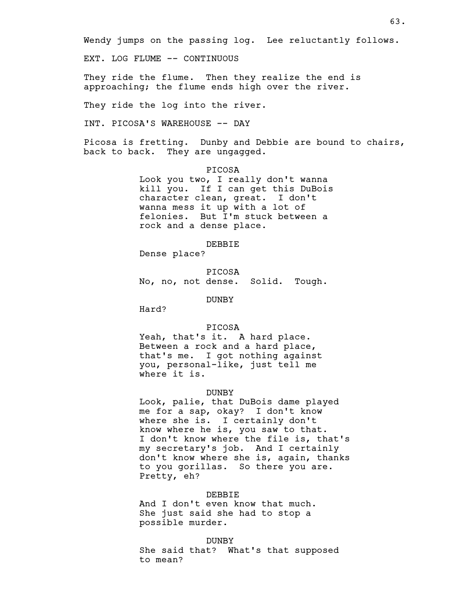EXT. LOG FLUME -- CONTINUOUS

They ride the flume. Then they realize the end is approaching; the flume ends high over the river.

They ride the log into the river.

INT. PICOSA'S WAREHOUSE -- DAY

Picosa is fretting. Dunby and Debbie are bound to chairs, back to back. They are ungagged.

> PICOSA Look you two, I really don't wanna kill you. If I can get this DuBois character clean, great. I don't wanna mess it up with a lot of felonies. But I'm stuck between a rock and a dense place.

> > DEBBIE

Dense place?

PICOSA No, no, not dense. Solid. Tough.

DUNBY

Hard?

#### PICOSA

Yeah, that's it. A hard place. Between a rock and a hard place, that's me. I got nothing against you, personal-like, just tell me where it is.

#### DUNBY

Look, palie, that DuBois dame played me for a sap, okay? I don't know where she is. I certainly don't know where he is, you saw to that. I don't know where the file is, that's my secretary's job. And I certainly don't know where she is, again, thanks to you gorillas. So there you are. Pretty, eh?

# DEBBIE

And I don't even know that much. She just said she had to stop a possible murder.

#### DUNBY

She said that? What's that supposed to mean?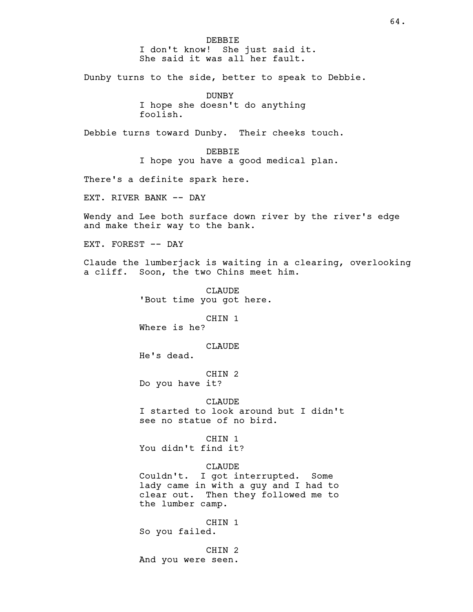DEBBIE I don't know! She just said it. She said it was all her fault.

Dunby turns to the side, better to speak to Debbie.

DUNBY I hope she doesn't do anything foolish.

Debbie turns toward Dunby. Their cheeks touch.

DEBBIE I hope you have a good medical plan.

There's a definite spark here.

EXT. RIVER BANK -- DAY

Wendy and Lee both surface down river by the river's edge and make their way to the bank.

EXT. FOREST -- DAY

Claude the lumberjack is waiting in a clearing, overlooking a cliff. Soon, the two Chins meet him.

> CLAUDE 'Bout time you got here.

CHIN 1 Where is he?

CLAUDE

He's dead.

CHIN 2 Do you have it?

CLAUDE I started to look around but I didn't see no statue of no bird.

CHIN 1 You didn't find it?

# CLAUDE

Couldn't. I got interrupted. Some lady came in with a guy and I had to clear out. Then they followed me to the lumber camp.

CHIN 1 So you failed.

CHIN 2 And you were seen.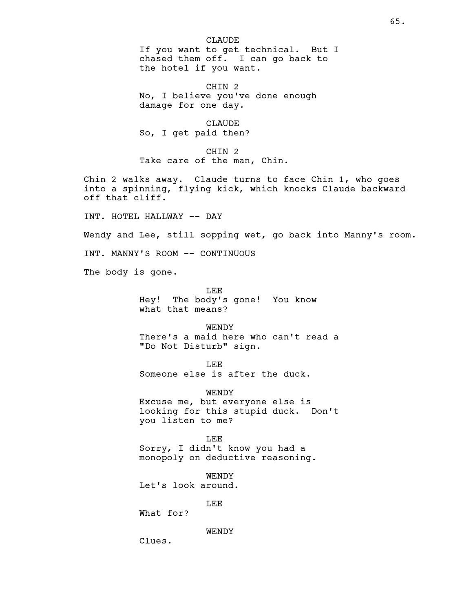CLAUDE If you want to get technical. But I chased them off. I can go back to the hotel if you want.

CHIN 2 No, I believe you've done enough damage for one day.

CLAUDE So, I get paid then?

CHIN 2 Take care of the man, Chin.

Chin 2 walks away. Claude turns to face Chin 1, who goes into a spinning, flying kick, which knocks Claude backward off that cliff.

INT. HOTEL HALLWAY -- DAY

Wendy and Lee, still sopping wet, go back into Manny's room.

INT. MANNY'S ROOM -- CONTINUOUS

The body is gone.

LEE

Hey! The body's gone! You know what that means?

WENDY

There's a maid here who can't read a "Do Not Disturb" sign.

LEE

Someone else is after the duck.

WENDY Excuse me, but everyone else is looking for this stupid duck. Don't you listen to me?

LEE Sorry, I didn't know you had a monopoly on deductive reasoning.

WENDY Let's look around.

LEE

What for?

WENDY

Clues.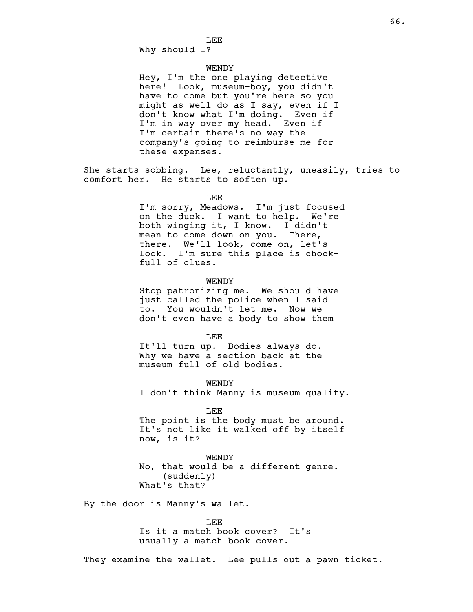LEE

Why should I?

### WENDY

Hey, I'm the one playing detective here! Look, museum-boy, you didn't have to come but you're here so you might as well do as I say, even if I don't know what I'm doing. Even if I'm in way over my head. Even if I'm certain there's no way the company's going to reimburse me for these expenses.

She starts sobbing. Lee, reluctantly, uneasily, tries to comfort her. He starts to soften up.

LEE

I'm sorry, Meadows. I'm just focused on the duck. I want to help. We're both winging it, I know. I didn't mean to come down on you. There, there. We'll look, come on, let's look. I'm sure this place is chockfull of clues.

WENDY

Stop patronizing me. We should have just called the police when I said to. You wouldn't let me. Now we don't even have a body to show them

LEE It'll turn up. Bodies always do. Why we have a section back at the museum full of old bodies.

WENDY I don't think Manny is museum quality.

LEE

The point is the body must be around. It's not like it walked off by itself now, is it?

WENDY No, that would be a different genre. (suddenly) What's that?

By the door is Manny's wallet.

LEE

Is it a match book cover? It's usually a match book cover.

They examine the wallet. Lee pulls out a pawn ticket.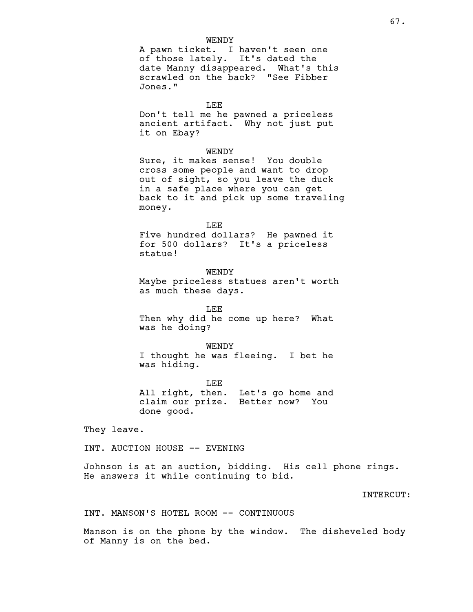#### WENDY

A pawn ticket. I haven't seen one of those lately. It's dated the date Manny disappeared. What's this scrawled on the back? "See Fibber Jones."

LEE

Don't tell me he pawned a priceless ancient artifact. Why not just put it on Ebay?

#### WENDY

Sure, it makes sense! You double cross some people and want to drop out of sight, so you leave the duck in a safe place where you can get back to it and pick up some traveling money.

LEE

Five hundred dollars? He pawned it for 500 dollars? It's a priceless statue!

WENDY Maybe priceless statues aren't worth as much these days.

LEE Then why did he come up here? What was he doing?

WENDY I thought he was fleeing. I bet he was hiding.

LEE All right, then. Let's go home and claim our prize. Better now? You done good.

They leave.

INT. AUCTION HOUSE -- EVENING

Johnson is at an auction, bidding. His cell phone rings. He answers it while continuing to bid.

INTERCUT:

INT. MANSON'S HOTEL ROOM -- CONTINUOUS

Manson is on the phone by the window. The disheveled body of Manny is on the bed.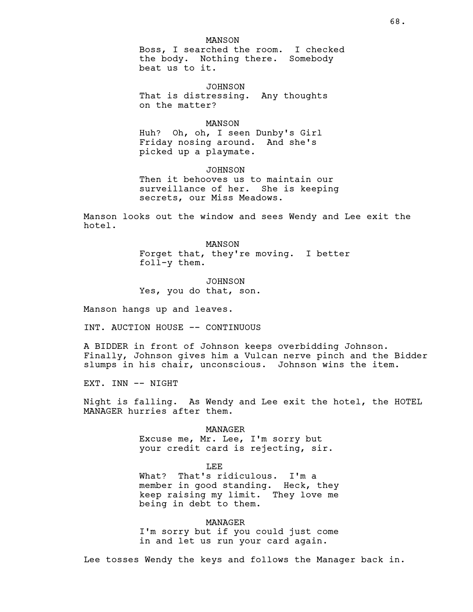MANSON Boss, I searched the room. I checked the body. Nothing there. Somebody beat us to it.

JOHNSON That is distressing. Any thoughts on the matter?

# MANSON

Huh? Oh, oh, I seen Dunby's Girl Friday nosing around. And she's picked up a playmate.

JOHNSON Then it behooves us to maintain our surveillance of her. She is keeping secrets, our Miss Meadows.

Manson looks out the window and sees Wendy and Lee exit the hotel.

> MANSON Forget that, they're moving. I better foll-y them.

JOHNSON Yes, you do that, son.

Manson hangs up and leaves.

INT. AUCTION HOUSE -- CONTINUOUS

A BIDDER in front of Johnson keeps overbidding Johnson. Finally, Johnson gives him a Vulcan nerve pinch and the Bidder slumps in his chair, unconscious. Johnson wins the item.

EXT. INN -- NIGHT

Night is falling. As Wendy and Lee exit the hotel, the HOTEL MANAGER hurries after them.

> MANAGER Excuse me, Mr. Lee, I'm sorry but your credit card is rejecting, sir.

LEE What? That's ridiculous. I'm a member in good standing. Heck, they keep raising my limit. They love me being in debt to them.

MANAGER I'm sorry but if you could just come in and let us run your card again.

Lee tosses Wendy the keys and follows the Manager back in.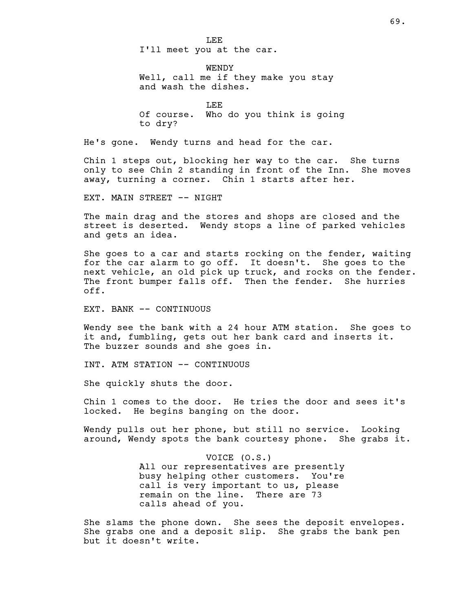LEE I'll meet you at the car.

WENDY Well, call me if they make you stay and wash the dishes.

LEE Of course. Who do you think is going to dry?

He's gone. Wendy turns and head for the car.

Chin 1 steps out, blocking her way to the car. She turns only to see Chin 2 standing in front of the Inn. She moves away, turning a corner. Chin 1 starts after her.

EXT. MAIN STREET -- NIGHT

The main drag and the stores and shops are closed and the street is deserted. Wendy stops a line of parked vehicles and gets an idea.

She goes to a car and starts rocking on the fender, waiting for the car alarm to go off. It doesn't. She goes to the next vehicle, an old pick up truck, and rocks on the fender. The front bumper falls off. Then the fender. She hurries off.

EXT. BANK -- CONTINUOUS

Wendy see the bank with a 24 hour ATM station. She goes to it and, fumbling, gets out her bank card and inserts it. The buzzer sounds and she goes in.

INT. ATM STATION -- CONTINUOUS

She quickly shuts the door.

Chin 1 comes to the door. He tries the door and sees it's locked. He begins banging on the door.

Wendy pulls out her phone, but still no service. Looking around, Wendy spots the bank courtesy phone. She grabs it.

> VOICE (O.S.) All our representatives are presently busy helping other customers. You're call is very important to us, please remain on the line. There are 73 calls ahead of you.

She slams the phone down. She sees the deposit envelopes. She grabs one and a deposit slip. She grabs the bank pen but it doesn't write.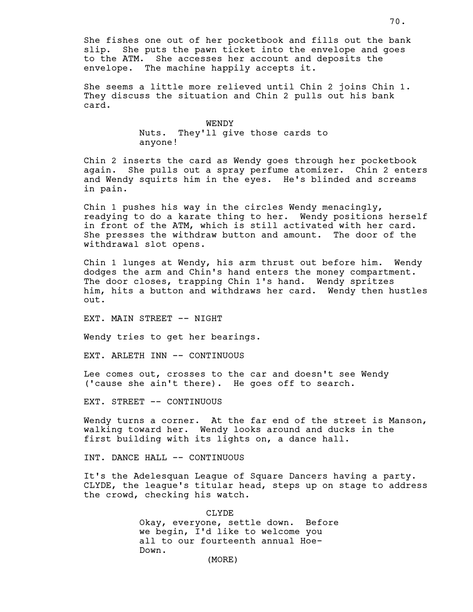She seems a little more relieved until Chin 2 joins Chin 1. They discuss the situation and Chin 2 pulls out his bank card.

WENDY

Nuts. They'll give those cards to anyone!

Chin 2 inserts the card as Wendy goes through her pocketbook again. She pulls out a spray perfume atomizer. Chin 2 enters and Wendy squirts him in the eyes. He's blinded and screams in pain.

Chin 1 pushes his way in the circles Wendy menacingly, readying to do a karate thing to her. Wendy positions herself in front of the ATM, which is still activated with her card. She presses the withdraw button and amount. The door of the withdrawal slot opens.

Chin 1 lunges at Wendy, his arm thrust out before him. Wendy dodges the arm and Chin's hand enters the money compartment. The door closes, trapping Chin 1's hand. Wendy spritzes him, hits a button and withdraws her card. Wendy then hustles out.

EXT. MAIN STREET -- NIGHT

Wendy tries to get her bearings.

EXT. ARLETH INN -- CONTINUOUS

Lee comes out, crosses to the car and doesn't see Wendy ('cause she ain't there). He goes off to search.

EXT. STREET -- CONTINUOUS

Wendy turns a corner. At the far end of the street is Manson, walking toward her. Wendy looks around and ducks in the first building with its lights on, a dance hall.

INT. DANCE HALL -- CONTINUOUS

It's the Adelesquan League of Square Dancers having a party. CLYDE, the league's titular head, steps up on stage to address the crowd, checking his watch.

> CLYDE Okay, everyone, settle down. Before we begin, I'd like to welcome you all to our fourteenth annual Hoe-Down.

(MORE)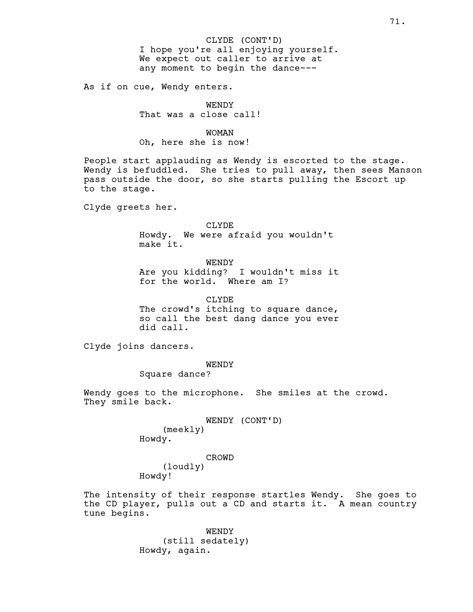CLYDE (CONT'D) I hope you're all enjoying yourself. We expect out caller to arrive at any moment to begin the dance---

As if on cue, Wendy enters.

WENDY That was a close call!

WOMAN

Oh, here she is now!

People start applauding as Wendy is escorted to the stage. Wendy is befuddled. She tries to pull away, then sees Manson pass outside the door, so she starts pulling the Escort up to the stage.

Clyde greets her.

CLYDE Howdy. We were afraid you wouldn't make it.

WENDY Are you kidding? I wouldn't miss it for the world. Where am I?

CLYDE The crowd's itching to square dance, so call the best dang dance you ever did call.

Clyde joins dancers.

WENDY

Square dance?

Wendy goes to the microphone. She smiles at the crowd. They smile back.

> WENDY (CONT'D) (meekly) Howdy.

> > CROWD

(loudly) Howdy!

The intensity of their response startles Wendy. She goes to the CD player, pulls out a CD and starts it. A mean country tune begins.

> WENDY (still sedately) Howdy, again.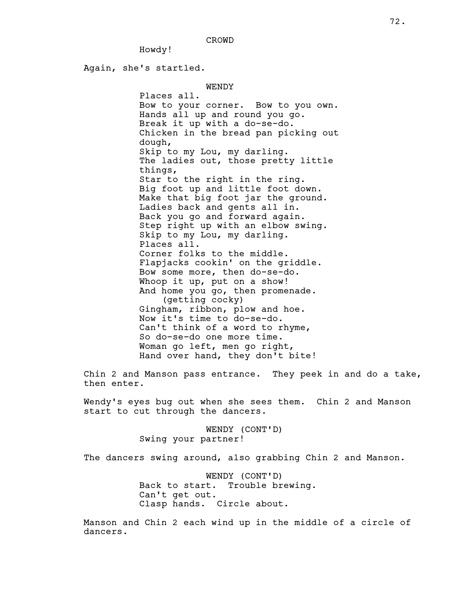CROWD

Howdy!

Again, she's startled.

WENDY

Places all. Bow to your corner. Bow to you own. Hands all up and round you go. Break it up with a do-se-do. Chicken in the bread pan picking out dough, Skip to my Lou, my darling. The ladies out, those pretty little things, Star to the right in the ring. Big foot up and little foot down. Make that big foot jar the ground. Ladies back and gents all in. Back you go and forward again. Step right up with an elbow swing. Skip to my Lou, my darling. Places all. Corner folks to the middle. Flapjacks cookin' on the griddle. Bow some more, then do-se-do. Whoop it up, put on a show! And home you go, then promenade. (getting cocky) Gingham, ribbon, plow and hoe. Now it's time to do-se-do. Can't think of a word to rhyme, So do-se-do one more time. Woman go left, men go right, Hand over hand, they don't bite!

Chin 2 and Manson pass entrance. They peek in and do a take, then enter.

Wendy's eyes bug out when she sees them. Chin 2 and Manson start to cut through the dancers.

> WENDY (CONT'D) Swing your partner!

The dancers swing around, also grabbing Chin 2 and Manson.

WENDY (CONT'D) Back to start. Trouble brewing. Can't get out. Clasp hands. Circle about.

Manson and Chin 2 each wind up in the middle of a circle of dancers.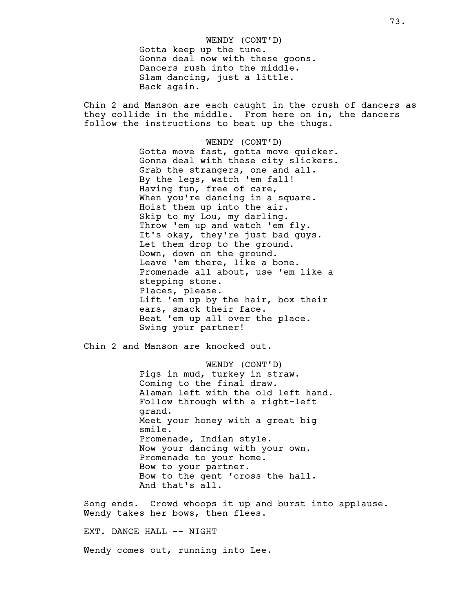WENDY (CONT'D) Gotta keep up the tune. Gonna deal now with these goons. Dancers rush into the middle. Slam dancing, just a little. Back again.

Chin 2 and Manson are each caught in the crush of dancers as they collide in the middle. From here on in, the dancers follow the instructions to beat up the thugs.

> WENDY (CONT'D) Gotta move fast, gotta move quicker. Gonna deal with these city slickers. Grab the strangers, one and all. By the legs, watch 'em fall! Having fun, free of care, When you're dancing in a square. Hoist them up into the air. Skip to my Lou, my darling. Throw 'em up and watch 'em fly. It's okay, they're just bad guys. Let them drop to the ground. Down, down on the ground. Leave 'em there, like a bone. Promenade all about, use 'em like a stepping stone. Places, please. Lift 'em up by the hair, box their ears, smack their face. Beat 'em up all over the place. Swing your partner!

Chin 2 and Manson are knocked out.

WENDY (CONT'D) Pigs in mud, turkey in straw. Coming to the final draw. Alaman left with the old left hand. Follow through with a right-left grand. Meet your honey with a great big smile. Promenade, Indian style. Now your dancing with your own. Promenade to your home. Bow to your partner. Bow to the gent 'cross the hall. And that's all.

Song ends. Crowd whoops it up and burst into applause. Wendy takes her bows, then flees.

EXT. DANCE HALL -- NIGHT

Wendy comes out, running into Lee.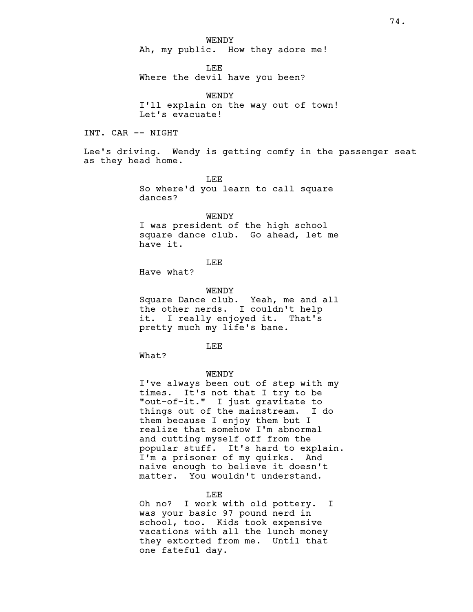WENDY Ah, my public. How they adore me!

LEE Where the devil have you been?

WENDY I'll explain on the way out of town! Let's evacuate!

INT. CAR -- NIGHT

Lee's driving. Wendy is getting comfy in the passenger seat as they head home.

> LEE So where'd you learn to call square dances?

## WENDY

I was president of the high school square dance club. Go ahead, let me have it.

LEE

Have what?

WENDY

Square Dance club. Yeah, me and all the other nerds. I couldn't help it. I really enjoyed it. That's pretty much my life's bane.

LEE

What?

## WENDY

I've always been out of step with my times. It's not that I try to be "out-of-it." I just gravitate to things out of the mainstream. I do them because I enjoy them but I realize that somehow I'm abnormal and cutting myself off from the popular stuff. It's hard to explain. I'm a prisoner of my quirks. And naive enough to believe it doesn't matter. You wouldn't understand.

### LEE

Oh no? I work with old pottery. I was your basic 97 pound nerd in school, too. Kids took expensive vacations with all the lunch money they extorted from me. Until that one fateful day.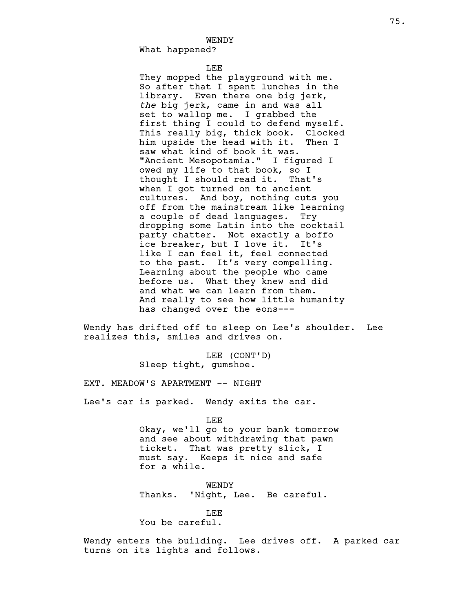What happened?

#### LEE

They mopped the playground with me. So after that I spent lunches in the library. Even there one big jerk, *the* big jerk, came in and was all set to wallop me. I grabbed the first thing I could to defend myself. This really big, thick book. Clocked him upside the head with it. Then I saw what kind of book it was. "Ancient Mesopotamia." I figured I owed my life to that book, so I thought I should read it. That's when I got turned on to ancient cultures. And boy, nothing cuts you off from the mainstream like learning a couple of dead languages. Try dropping some Latin into the cocktail party chatter. Not exactly a boffo ice breaker, but I love it. It's like I can feel it, feel connected to the past. It's very compelling. Learning about the people who came before us. What they knew and did and what we can learn from them. And really to see how little humanity has changed over the eons---

Wendy has drifted off to sleep on Lee's shoulder. Lee realizes this, smiles and drives on.

> LEE (CONT'D) Sleep tight, gumshoe.

EXT. MEADOW'S APARTMENT -- NIGHT

Lee's car is parked. Wendy exits the car.

LEE

Okay, we'll go to your bank tomorrow and see about withdrawing that pawn ticket. That was pretty slick, I must say. Keeps it nice and safe for a while.

WENDY Thanks. 'Night, Lee. Be careful.

LEE

You be careful.

Wendy enters the building. Lee drives off. A parked car turns on its lights and follows.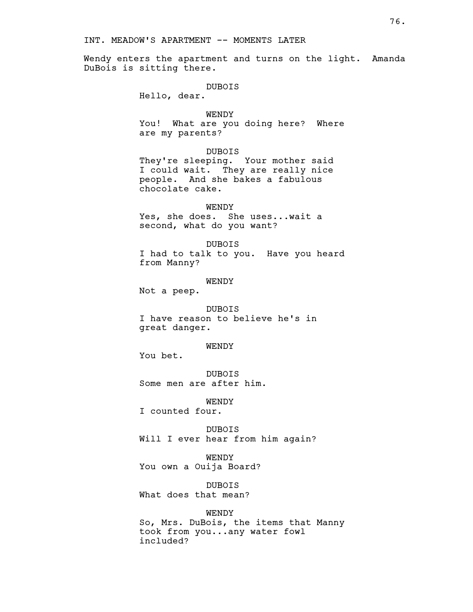INT. MEADOW'S APARTMENT -- MOMENTS LATER

Wendy enters the apartment and turns on the light. Amanda DuBois is sitting there.

```
DUBOIS
```
Hello, dear.

WENDY

You! What are you doing here? Where are my parents?

DUBOIS

They're sleeping. Your mother said I could wait. They are really nice people. And she bakes a fabulous chocolate cake.

#### WENDY

Yes, she does. She uses...wait a second, what do you want?

DUBOIS

I had to talk to you. Have you heard from Manny?

## WENDY

Not a peep.

DUBOIS I have reason to believe he's in great danger.

# WENDY

You bet.

DUBOIS Some men are after him.

WENDY

I counted four.

DUBOIS Will I ever hear from him again?

WENDY You own a Ouija Board?

DUBOIS What does that mean?

### WENDY

So, Mrs. DuBois, the items that Manny took from you...any water fowl included?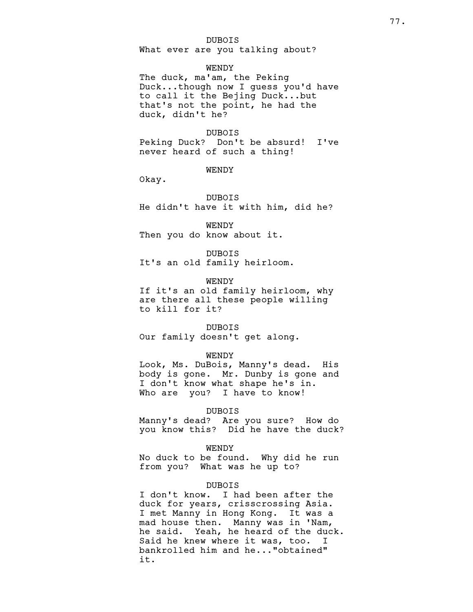#### DUBOIS

What ever are you talking about?

## WENDY

The duck, ma'am, the Peking Duck...though now I guess you'd have to call it the Bejing Duck...but that's not the point, he had the duck, didn't he?

## DUBOIS

Peking Duck? Don't be absurd! I've never heard of such a thing!

WENDY

Okay.

DUBOIS He didn't have it with him, did he?

WENDY Then you do know about it.

DUBOIS It's an old family heirloom.

#### WENDY

If it's an old family heirloom, why are there all these people willing to kill for it?

DUBOIS Our family doesn't get along.

#### WENDY

Look, Ms. DuBois, Manny's dead. His body is gone. Mr. Dunby is gone and I don't know what shape he's in. Who are you? I have to know!

#### DUBOIS

Manny's dead? Are you sure? How do you know this? Did he have the duck?

#### WENDY

No duck to be found. Why did he run from you? What was he up to?

### DUBOIS

I don't know. I had been after the duck for years, crisscrossing Asia. I met Manny in Hong Kong. It was a mad house then. Manny was in 'Nam, he said. Yeah, he heard of the duck. Said he knew where it was, too. I bankrolled him and he..."obtained" it.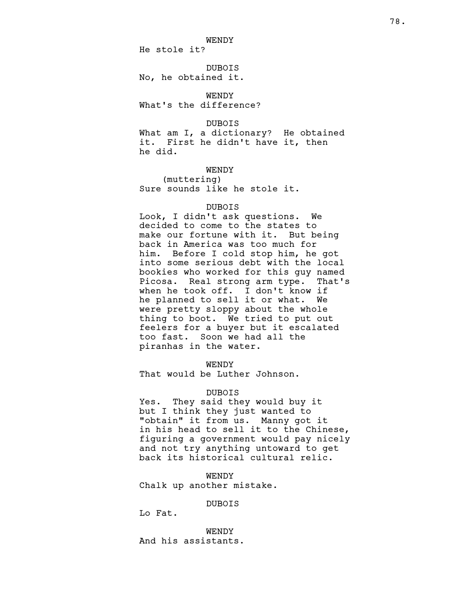WENDY

He stole it?

DUBOIS No, he obtained it.

WENDY What's the difference?

DUBOIS What am I, a dictionary? He obtained it. First he didn't have it, then he did.

WENDY (muttering) Sure sounds like he stole it.

#### DUBOIS

Look, I didn't ask questions. We decided to come to the states to make our fortune with it. But being back in America was too much for him. Before I cold stop him, he got into some serious debt with the local bookies who worked for this guy named Picosa. Real strong arm type. That's when he took off. I don't know if he planned to sell it or what. We were pretty sloppy about the whole thing to boot. We tried to put out feelers for a buyer but it escalated too fast. Soon we had all the piranhas in the water.

## WENDY

That would be Luther Johnson.

## DUBOIS

Yes. They said they would buy it but I think they just wanted to "obtain" it from us. Manny got it in his head to sell it to the Chinese, figuring a government would pay nicely and not try anything untoward to get back its historical cultural relic.

WENDY Chalk up another mistake.

## DUBOIS

Lo Fat.

WENDY And his assistants.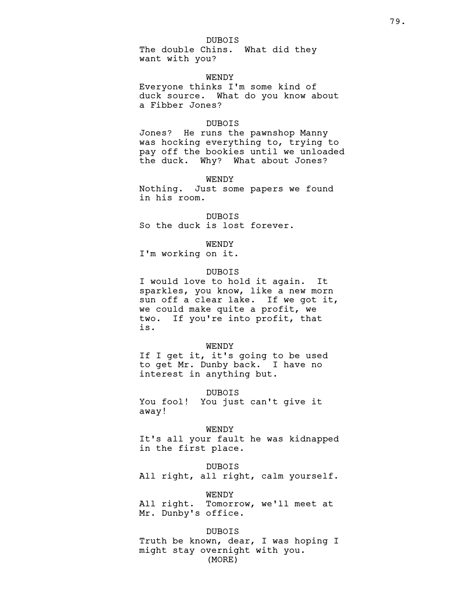## DUBOIS

The double Chins. What did they want with you?

WENDY

Everyone thinks I'm some kind of duck source. What do you know about a Fibber Jones?

# DUBOIS

Jones? He runs the pawnshop Manny was hocking everything to, trying to pay off the bookies until we unloaded the duck. Why? What about Jones?

WENDY

Nothing. Just some papers we found in his room.

DUBOIS So the duck is lost forever.

WENDY I'm working on it.

# DUBOIS

I would love to hold it again. It sparkles, you know, like a new morn sun off a clear lake. If we got it, we could make quite a profit, we two. If you're into profit, that is.

#### WENDY

If I get it, it's going to be used to get Mr. Dunby back. I have no interest in anything but.

DUBOIS

You fool! You just can't give it away!

## WENDY

It's all your fault he was kidnapped in the first place.

DUBOIS

All right, all right, calm yourself.

WENDY

All right. Tomorrow, we'll meet at Mr. Dunby's office.

## DUBOIS

Truth be known, dear, I was hoping I might stay overnight with you. (MORE)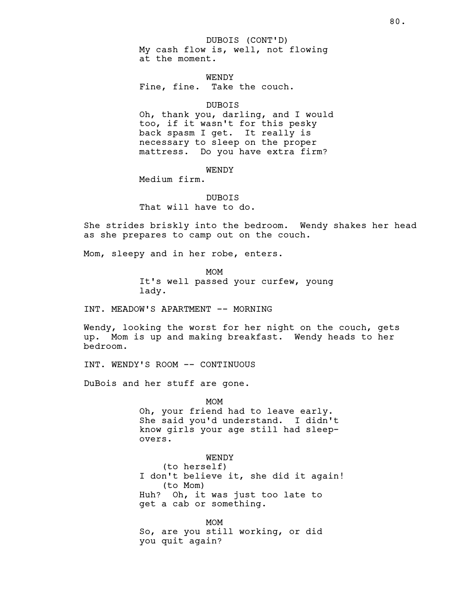DUBOIS (CONT'D) My cash flow is, well, not flowing at the moment.

WENDY Fine, fine. Take the couch.

#### DUBOIS

Oh, thank you, darling, and I would too, if it wasn't for this pesky back spasm I get. It really is necessary to sleep on the proper mattress. Do you have extra firm?

WENDY

Medium firm.

DUBOIS That will have to do.

She strides briskly into the bedroom. Wendy shakes her head as she prepares to camp out on the couch.

Mom, sleepy and in her robe, enters.

MOM It's well passed your curfew, young lady.

INT. MEADOW'S APARTMENT -- MORNING

Wendy, looking the worst for her night on the couch, gets up. Mom is up and making breakfast. Wendy heads to her bedroom.

INT. WENDY'S ROOM -- CONTINUOUS

DuBois and her stuff are gone.

MOM Oh, your friend had to leave early. She said you'd understand. I didn't know girls your age still had sleepovers.

WENDY (to herself) I don't believe it, she did it again! (to Mom) Huh? Oh, it was just too late to

MOM So, are you still working, or did you quit again?

get a cab or something.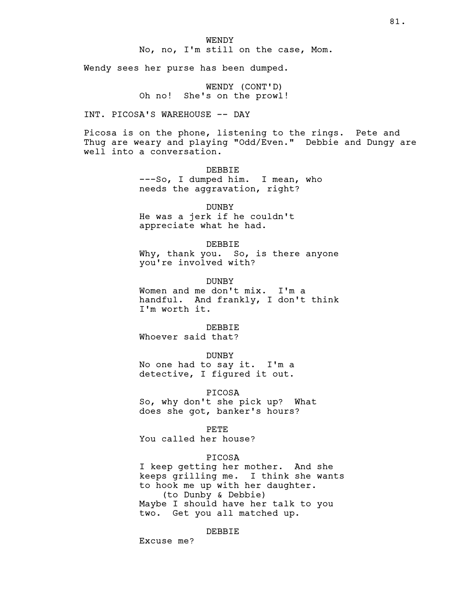Wendy sees her purse has been dumped.

WENDY (CONT'D) Oh no! She's on the prowl!

INT. PICOSA'S WAREHOUSE -- DAY

Picosa is on the phone, listening to the rings. Pete and Thug are weary and playing "Odd/Even." Debbie and Dungy are well into a conversation.

> DEBBIE ---So, I dumped him. I mean, who needs the aggravation, right?

DUNBY He was a jerk if he couldn't appreciate what he had.

DEBBIE Why, thank you. So, is there anyone you're involved with?

DUNBY Women and me don't mix. I'm a handful. And frankly, I don't think I'm worth it.

DEBBIE Whoever said that?

DUNBY No one had to say it. I'm a detective, I figured it out.

PICOSA So, why don't she pick up? What does she got, banker's hours?

PETE

You called her house?

## PICOSA

I keep getting her mother. And she keeps grilling me. I think she wants to hook me up with her daughter. (to Dunby & Debbie) Maybe I should have her talk to you two. Get you all matched up.

DEBBIE

Excuse me?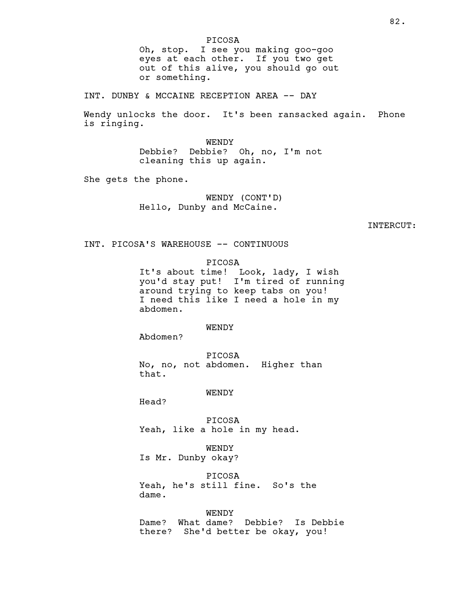Oh, stop. I see you making goo-goo eyes at each other. If you two get out of this alive, you should go out or something.

INT. DUNBY & MCCAINE RECEPTION AREA -- DAY

Wendy unlocks the door. It's been ransacked again. Phone is ringing.

> WENDY Debbie? Debbie? Oh, no, I'm not cleaning this up again.

She gets the phone.

WENDY (CONT'D) Hello, Dunby and McCaine.

# INTERCUT:

INT. PICOSA'S WAREHOUSE -- CONTINUOUS

PICOSA

It's about time! Look, lady, I wish you'd stay put! I'm tired of running around trying to keep tabs on you! I need this like I need a hole in my abdomen.

## WENDY

Abdomen?

PICOSA No, no, not abdomen. Higher than that.

WENDY

Head?

PICOSA Yeah, like a hole in my head.

WENDY Is Mr. Dunby okay?

PICOSA Yeah, he's still fine. So's the dame.

#### WENDY

Dame? What dame? Debbie? Is Debbie there? She'd better be okay, you!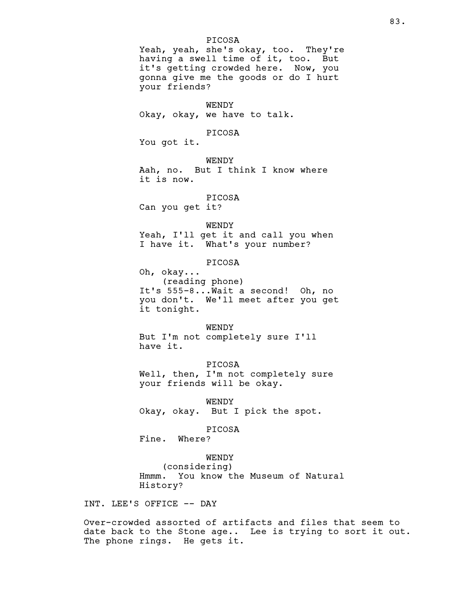PICOSA Yeah, yeah, she's okay, too. They're having a swell time of it, too. But it's getting crowded here. Now, you gonna give me the goods or do I hurt your friends?

WENDY Okay, okay, we have to talk.

# PICOSA

You got it.

WENDY Aah, no. But I think I know where it is now.

PICOSA Can you get it?

WENDY Yeah, I'll get it and call you when I have it. What's your number?

PICOSA Oh, okay... (reading phone)

It's 555-8...Wait a second! Oh, no you don't. We'll meet after you get it tonight.

WENDY But I'm not completely sure I'll have it.

PICOSA Well, then, I'm not completely sure your friends will be okay.

WENDY Okay, okay. But I pick the spot.

PICOSA

Fine. Where?

WENDY (considering) Hmmm. You know the Museum of Natural History?

INT. LEE'S OFFICE -- DAY

Over-crowded assorted of artifacts and files that seem to date back to the Stone age.. Lee is trying to sort it out. The phone rings. He gets it.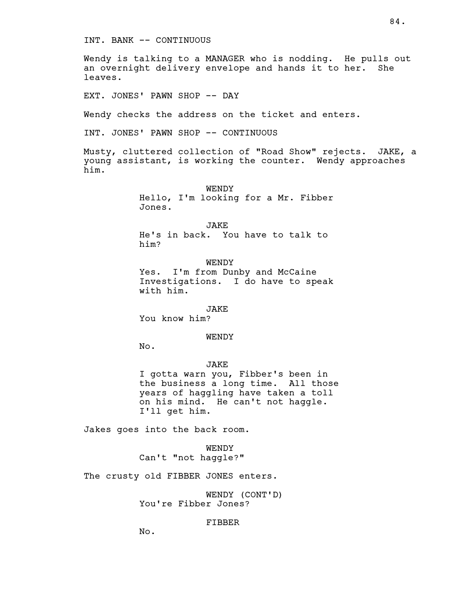INT. BANK -- CONTINUOUS

Wendy is talking to a MANAGER who is nodding. He pulls out an overnight delivery envelope and hands it to her. She leaves.

EXT. JONES' PAWN SHOP -- DAY

Wendy checks the address on the ticket and enters.

INT. JONES' PAWN SHOP -- CONTINUOUS

Musty, cluttered collection of "Road Show" rejects. JAKE, a young assistant, is working the counter. Wendy approaches him.

WENDY

Hello, I'm looking for a Mr. Fibber Jones.

JAKE

He's in back. You have to talk to him?

WENDY

Yes. I'm from Dunby and McCaine Investigations. I do have to speak with him.

JAKE You know him?

## WENDY

No.

JAKE

I gotta warn you, Fibber's been in the business a long time. All those years of haggling have taken a toll on his mind. He can't not haggle. I'll get him.

Jakes goes into the back room.

WENDY Can't "not haggle?"

The crusty old FIBBER JONES enters.

WENDY (CONT'D) You're Fibber Jones?

FIBBER

No.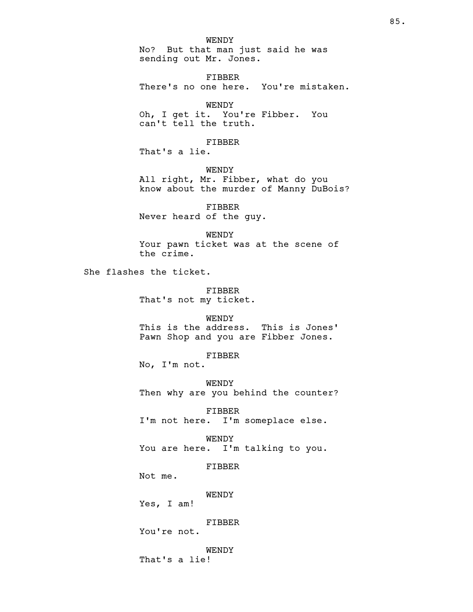WENDY No? But that man just said he was sending out Mr. Jones.

FIBBER There's no one here. You're mistaken.

#### WENDY

Oh, I get it. You're Fibber. You can't tell the truth.

## FIBBER

That's a lie.

WENDY All right, Mr. Fibber, what do you know about the murder of Manny DuBois?

FIBBER Never heard of the guy.

WENDY Your pawn ticket was at the scene of the crime.

She flashes the ticket.

FIBBER That's not my ticket.

## WENDY

This is the address. This is Jones' Pawn Shop and you are Fibber Jones.

FIBBER

No, I'm not.

WENDY Then why are you behind the counter?

FIBBER I'm not here. I'm someplace else.

WENDY You are here. I'm talking to you.

FIBBER

Not me.

WENDY

Yes, I am!

FIBBER

You're not.

WENDY That's a lie!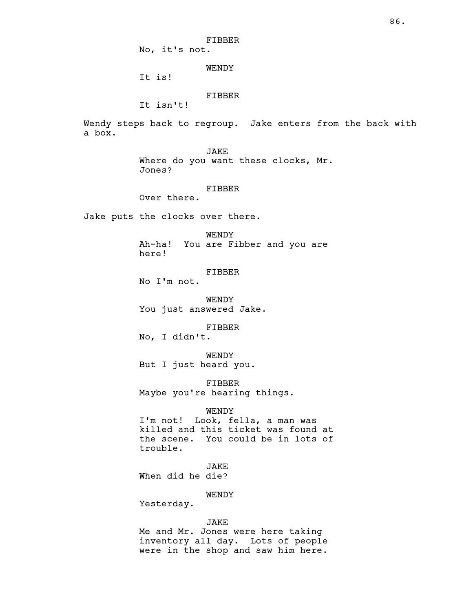No, it's not.

WENDY

It is!

## FIBBER

It isn't!

Wendy steps back to regroup. Jake enters from the back with a box.

> JAKE Where do you want these clocks, Mr. Jones?

# FIBBER

Over there.

Jake puts the clocks over there.

#### WENDY

Ah-ha! You are Fibber and you are here!

FIBBER

No I'm not.

WENDY You just answered Jake.

FIBBER

No, I didn't.

WENDY But I just heard you.

FIBBER Maybe you're hearing things.

#### WENDY

I'm not! Look, fella, a man was killed and this ticket was found at the scene. You could be in lots of trouble.

JAKE

When did he die?

# WENDY

Yesterday.

## JAKE

Me and Mr. Jones were here taking inventory all day. Lots of people were in the shop and saw him here.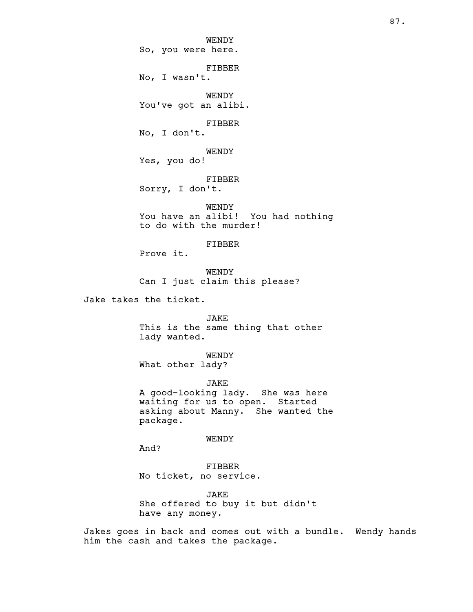WENDY So, you were here. FIBBER No, I wasn't. WENDY You've got an alibi. FIBBER No, I don't. WENDY Yes, you do! FIBBER Sorry, I don't.

WENDY You have an alibi! You had nothing to do with the murder!

FIBBER

Prove it.

WENDY Can I just claim this please?

Jake takes the ticket.

JAKE This is the same thing that other lady wanted.

WENDY What other lady?

JAKE

A good-looking lady. She was here waiting for us to open. Started asking about Manny. She wanted the package.

WENDY

And?

FIBBER No ticket, no service.

JAKE She offered to buy it but didn't have any money.

Jakes goes in back and comes out with a bundle. Wendy hands him the cash and takes the package.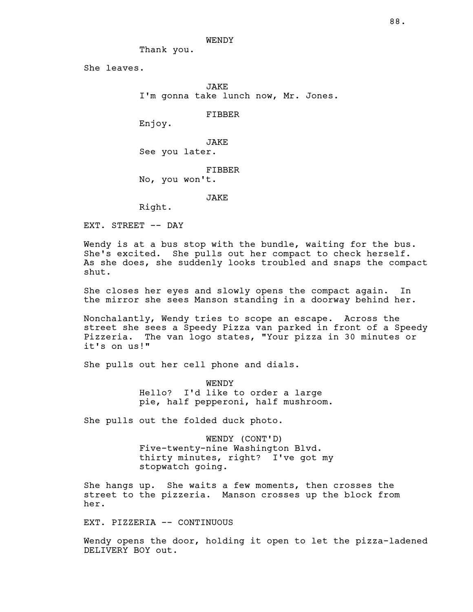### WENDY

Thank you.

She leaves.

JAKE I'm gonna take lunch now, Mr. Jones.

FIBBER

Enjoy.

JAKE See you later.

FIBBER

No, you won't.

JAKE

Right.

EXT. STREET -- DAY

Wendy is at a bus stop with the bundle, waiting for the bus. She's excited. She pulls out her compact to check herself. As she does, she suddenly looks troubled and snaps the compact shut.

She closes her eyes and slowly opens the compact again. In the mirror she sees Manson standing in a doorway behind her.

Nonchalantly, Wendy tries to scope an escape. Across the street she sees a Speedy Pizza van parked in front of a Speedy Pizzeria. The van logo states, "Your pizza in 30 minutes or it's on us!"

She pulls out her cell phone and dials.

WENDY Hello? I'd like to order a large pie, half pepperoni, half mushroom.

She pulls out the folded duck photo.

WENDY (CONT'D) Five-twenty-nine Washington Blvd. thirty minutes, right? I've got my stopwatch going.

She hangs up. She waits a few moments, then crosses the street to the pizzeria. Manson crosses up the block from her.

EXT. PIZZERIA -- CONTINUOUS

Wendy opens the door, holding it open to let the pizza-ladened DELIVERY BOY out.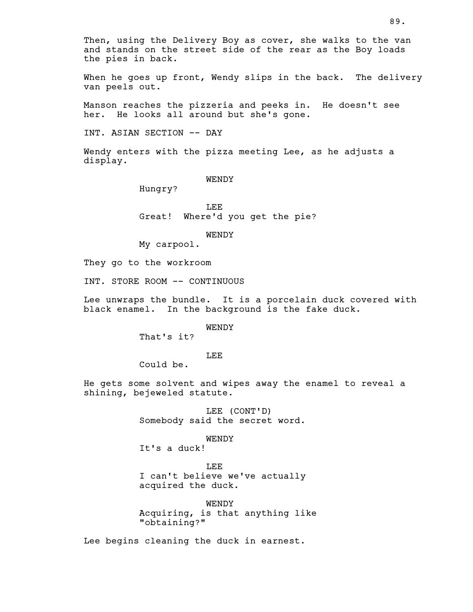Then, using the Delivery Boy as cover, she walks to the van and stands on the street side of the rear as the Boy loads the pies in back.

When he goes up front, Wendy slips in the back. The delivery van peels out.

Manson reaches the pizzeria and peeks in. He doesn't see her. He looks all around but she's gone.

INT. ASIAN SECTION -- DAY

Wendy enters with the pizza meeting Lee, as he adjusts a display.

#### WENDY

Hungry?

LEE Great! Where'd you get the pie?

### WENDY

My carpool.

They go to the workroom

INT. STORE ROOM -- CONTINUOUS

Lee unwraps the bundle. It is a porcelain duck covered with black enamel. In the background is the fake duck.

WENDY

That's it?

LEE

Could be.

He gets some solvent and wipes away the enamel to reveal a shining, bejeweled statute.

> LEE (CONT'D) Somebody said the secret word.

# WENDY

It's a duck!

LEE I can't believe we've actually acquired the duck.

WENDY Acquiring, is that anything like "obtaining?"

Lee begins cleaning the duck in earnest.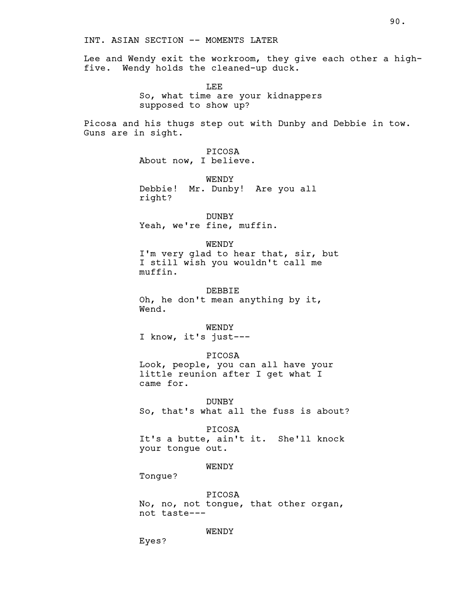Lee and Wendy exit the workroom, they give each other a highfive. Wendy holds the cleaned-up duck.

> LEE So, what time are your kidnappers supposed to show up?

Picosa and his thugs step out with Dunby and Debbie in tow. Guns are in sight.

> PICOSA About now, I believe.

WENDY Debbie! Mr. Dunby! Are you all right?

DUNBY Yeah, we're fine, muffin.

### WENDY

I'm very glad to hear that, sir, but I still wish you wouldn't call me muffin.

DEBBIE

Oh, he don't mean anything by it, Wend.

WENDY I know, it's just---

## PICOSA

Look, people, you can all have your little reunion after I get what I came for.

DUNBY So, that's what all the fuss is about?

PICOSA

It's a butte, ain't it. She'll knock your tongue out.

WENDY

Tongue?

PICOSA No, no, not tongue, that other organ, not taste---

WENDY

Eyes?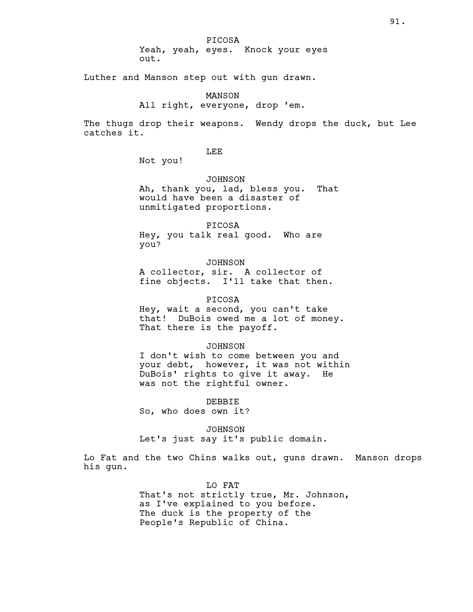PICOSA Yeah, yeah, eyes. Knock your eyes out.

Luther and Manson step out with gun drawn.

MANSON All right, everyone, drop 'em.

The thugs drop their weapons. Wendy drops the duck, but Lee catches it.

LEE

Not you!

JOHNSON

Ah, thank you, lad, bless you. That would have been a disaster of unmitigated proportions.

PICOSA Hey, you talk real good. Who are you?

JOHNSON A collector, sir. A collector of fine objects. I'll take that then.

PICOSA Hey, wait a second, you can't take that! DuBois owed me a lot of money. That there is the payoff.

JOHNSON I don't wish to come between you and your debt, however, it was not within DuBois' rights to give it away. He was not the rightful owner.

DEBBIE So, who does own it?

JOHNSON Let's just say it's public domain.

Lo Fat and the two Chins walks out, guns drawn. Manson drops his gun.

> LO FAT That's not strictly true, Mr. Johnson, as I've explained to you before. The duck is the property of the People's Republic of China.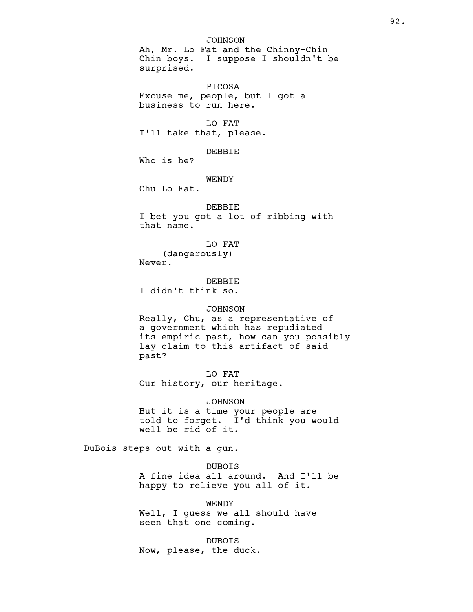JOHNSON Ah, Mr. Lo Fat and the Chinny-Chin Chin boys. I suppose I shouldn't be surprised. PICOSA Excuse me, people, but I got a business to run here. LO FAT I'll take that, please. DEBBIE Who is he? WENDY Chu Lo Fat. DEBBIE I bet you got a lot of ribbing with that name. LO FAT (dangerously) Never. DEBBIE I didn't think so. JOHNSON Really, Chu, as a representative of a government which has repudiated its empiric past, how can you possibly lay claim to this artifact of said past? LO FAT Our history, our heritage. JOHNSON But it is a time your people are told to forget. I'd think you would well be rid of it. DuBois steps out with a gun.

DUBOIS A fine idea all around. And I'll be happy to relieve you all of it.

WENDY Well, I guess we all should have seen that one coming.

DUBOIS Now, please, the duck.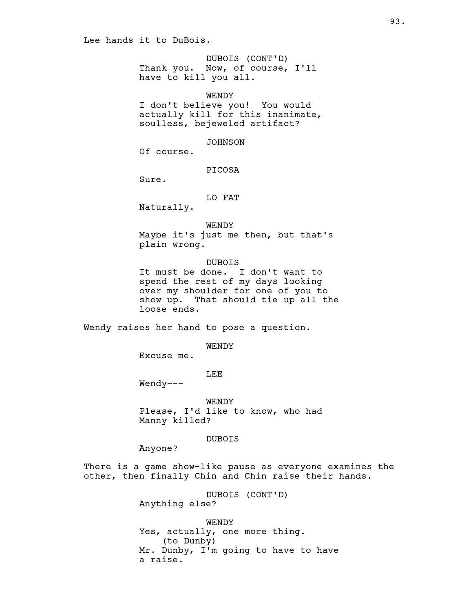Lee hands it to DuBois.

DUBOIS (CONT'D) Thank you. Now, of course, I'll have to kill you all.

WENDY I don't believe you! You would actually kill for this inanimate, soulless, bejeweled artifact?

JOHNSON

Of course.

PICOSA

Sure.

LO FAT

Naturally.

WENDY

Maybe it's just me then, but that's plain wrong.

DUBOIS It must be done. I don't want to spend the rest of my days looking over my shoulder for one of you to show up. That should tie up all the loose ends.

Wendy raises her hand to pose a question.

WENDY

Excuse me.

# LEE

Wendy---

WENDY Please, I'd like to know, who had Manny killed?

DUBOIS

Anyone?

There is a game show-like pause as everyone examines the other, then finally Chin and Chin raise their hands.

> DUBOIS (CONT'D) Anything else?

WENDY Yes, actually, one more thing. (to Dunby) Mr. Dunby, I'm going to have to have a raise.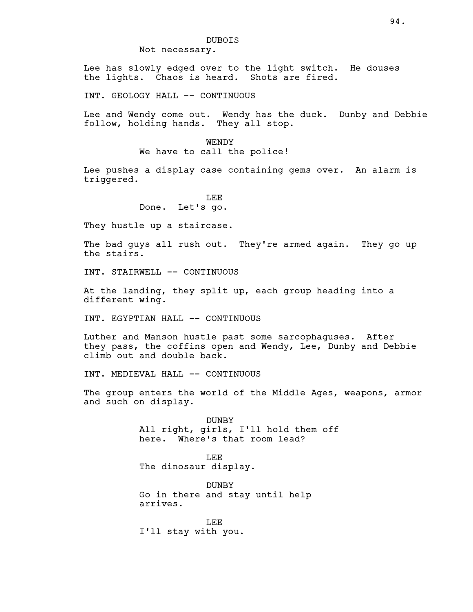94.

# DUBOIS

Not necessary.

Lee has slowly edged over to the light switch. He douses the lights. Chaos is heard. Shots are fired.

INT. GEOLOGY HALL -- CONTINUOUS

Lee and Wendy come out. Wendy has the duck. Dunby and Debbie follow, holding hands. They all stop.

> WENDY We have to call the police!

Lee pushes a display case containing gems over. An alarm is triggered.

> LEE Done. Let's go.

They hustle up a staircase.

The bad guys all rush out. They're armed again. They go up the stairs.

INT. STAIRWELL -- CONTINUOUS

At the landing, they split up, each group heading into a different wing.

INT. EGYPTIAN HALL -- CONTINUOUS

Luther and Manson hustle past some sarcophaguses. After they pass, the coffins open and Wendy, Lee, Dunby and Debbie climb out and double back.

INT. MEDIEVAL HALL -- CONTINUOUS

The group enters the world of the Middle Ages, weapons, armor and such on display.

> DUNBY All right, girls, I'll hold them off here. Where's that room lead?

LEE The dinosaur display.

DUNBY Go in there and stay until help arrives.

LEE I'll stay with you.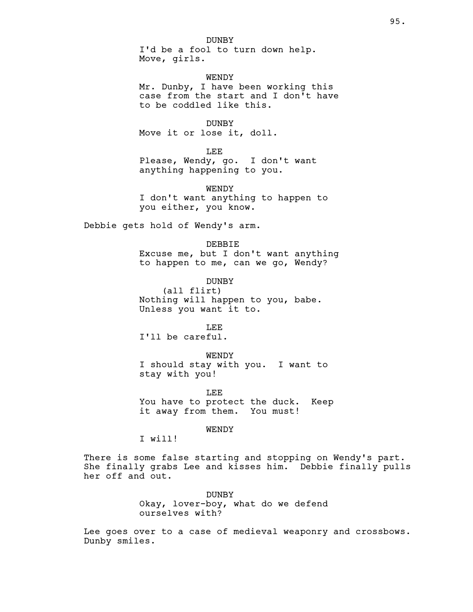DUNBY

I'd be a fool to turn down help. Move, girls.

#### WENDY

Mr. Dunby, I have been working this case from the start and I don't have to be coddled like this.

DUNBY Move it or lose it, doll.

LEE

Please, Wendy, go. I don't want anything happening to you.

WENDY I don't want anything to happen to you either, you know.

Debbie gets hold of Wendy's arm.

DEBBIE Excuse me, but I don't want anything to happen to me, can we go, Wendy?

DUNBY (all flirt) Nothing will happen to you, babe. Unless you want it to.

LEE I'll be careful.

WENDY I should stay with you. I want to stay with you!

LEE You have to protect the duck. Keep it away from them. You must!

WENDY

I will!

There is some false starting and stopping on Wendy's part. She finally grabs Lee and kisses him. Debbie finally pulls her off and out.

> DUNBY Okay, lover-boy, what do we defend ourselves with?

Lee goes over to a case of medieval weaponry and crossbows. Dunby smiles.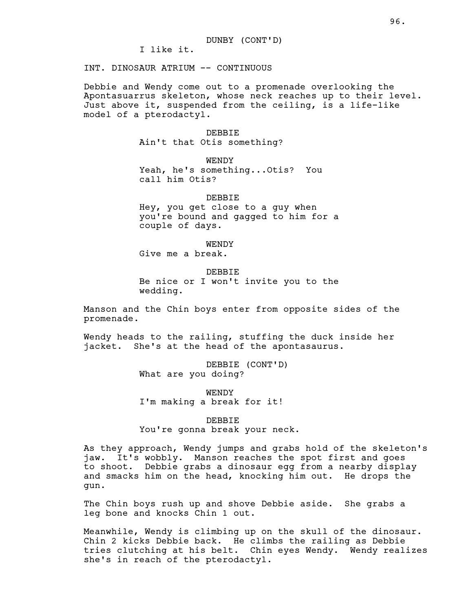I like it.

INT. DINOSAUR ATRIUM -- CONTINUOUS

Debbie and Wendy come out to a promenade overlooking the Apontasuarrus skeleton, whose neck reaches up to their level. Just above it, suspended from the ceiling, is a life-like model of a pterodactyl.

> DEBBIE Ain't that Otis something?

WENDY Yeah, he's something...Otis? You call him Otis?

DEBBIE Hey, you get close to a guy when you're bound and gagged to him for a couple of days.

WENDY Give me a break.

DEBBIE Be nice or I won't invite you to the wedding.

Manson and the Chin boys enter from opposite sides of the promenade.

Wendy heads to the railing, stuffing the duck inside her jacket. She's at the head of the apontasaurus.

> DEBBIE (CONT'D) What are you doing?

WENDY I'm making a break for it!

DEBBIE You're gonna break your neck.

As they approach, Wendy jumps and grabs hold of the skeleton's jaw. It's wobbly. Manson reaches the spot first and goes to shoot. Debbie grabs a dinosaur egg from a nearby display and smacks him on the head, knocking him out. He drops the gun.

The Chin boys rush up and shove Debbie aside. She grabs a leg bone and knocks Chin 1 out.

Meanwhile, Wendy is climbing up on the skull of the dinosaur. Chin 2 kicks Debbie back. He climbs the railing as Debbie tries clutching at his belt. Chin eyes Wendy. Wendy realizes she's in reach of the pterodactyl.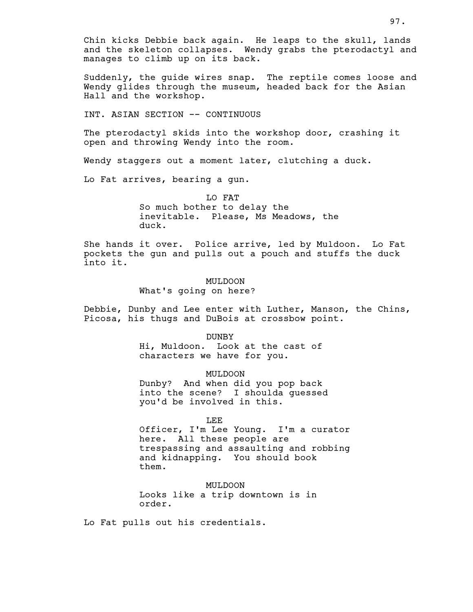Suddenly, the guide wires snap. The reptile comes loose and Wendy glides through the museum, headed back for the Asian Hall and the workshop.

INT. ASIAN SECTION -- CONTINUOUS

The pterodactyl skids into the workshop door, crashing it open and throwing Wendy into the room.

Wendy staggers out a moment later, clutching a duck.

Lo Fat arrives, bearing a gun.

LO FAT So much bother to delay the inevitable. Please, Ms Meadows, the duck.

She hands it over. Police arrive, led by Muldoon. Lo Fat pockets the gun and pulls out a pouch and stuffs the duck into it.

> MULDOON What's going on here?

Debbie, Dunby and Lee enter with Luther, Manson, the Chins, Picosa, his thugs and DuBois at crossbow point.

> DUNBY Hi, Muldoon. Look at the cast of characters we have for you.

MULDOON Dunby? And when did you pop back into the scene? I shoulda guessed you'd be involved in this.

LEE

Officer, I'm Lee Young. I'm a curator here. All these people are trespassing and assaulting and robbing and kidnapping. You should book them.

MULDOON Looks like a trip downtown is in order.

Lo Fat pulls out his credentials.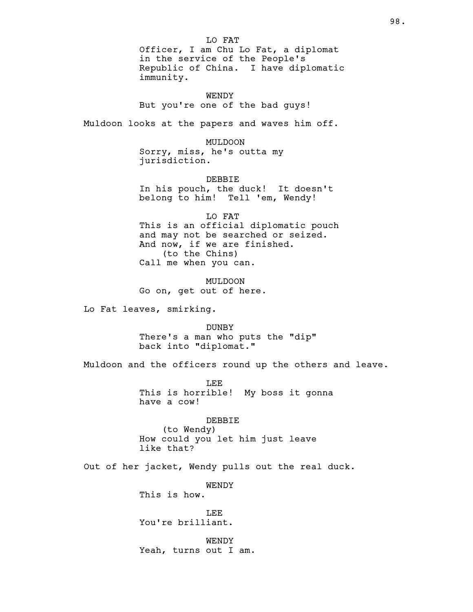LO FAT

Officer, I am Chu Lo Fat, a diplomat in the service of the People's Republic of China. I have diplomatic immunity.

WENDY But you're one of the bad guys!

Muldoon looks at the papers and waves him off.

MULDOON Sorry, miss, he's outta my jurisdiction.

DEBBIE In his pouch, the duck! It doesn't belong to him! Tell 'em, Wendy!

LO FAT This is an official diplomatic pouch and may not be searched or seized. And now, if we are finished. (to the Chins) Call me when you can.

MULDOON Go on, get out of here.

Lo Fat leaves, smirking.

DUNBY There's a man who puts the "dip" back into "diplomat."

Muldoon and the officers round up the others and leave.

LEE This is horrible! My boss it gonna have a cow!

DEBBIE (to Wendy) How could you let him just leave like that?

Out of her jacket, Wendy pulls out the real duck.

WENDY

This is how.

LEE You're brilliant.

WENDY Yeah, turns out I am.